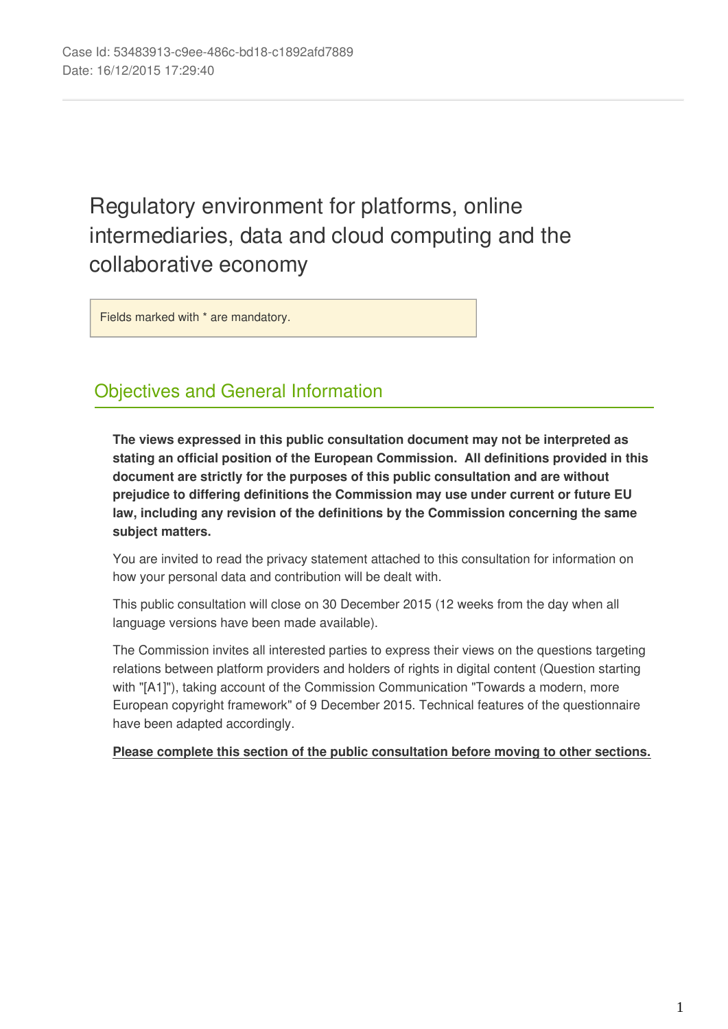# Regulatory environment for platforms, online intermediaries, data and cloud computing and the collaborative economy

Fields marked with \* are mandatory.

## Objectives and General Information

**The views expressed in this public consultation document may not be interpreted as stating an official position of the European Commission. All definitions provided in this document are strictly for the purposes of this public consultation and are without prejudice to differing definitions the Commission may use under current or future EU law, including any revision of the definitions by the Commission concerning the same subject matters.**

You are invited to read the privacy statement attached to this consultation for information on how your personal data and contribution will be dealt with.

This public consultation will close on 30 December 2015 (12 weeks from the day when all language versions have been made available).

The Commission invites all interested parties to express their views on the questions targeting relations between platform providers and holders of rights in digital content (Question starting with "[A1]"), taking account of the Commission Communication "Towards a modern, more European copyright framework" of 9 December 2015. Technical features of the questionnaire have been adapted accordingly.

## **Please complete this section of the public consultation before moving to other sections.**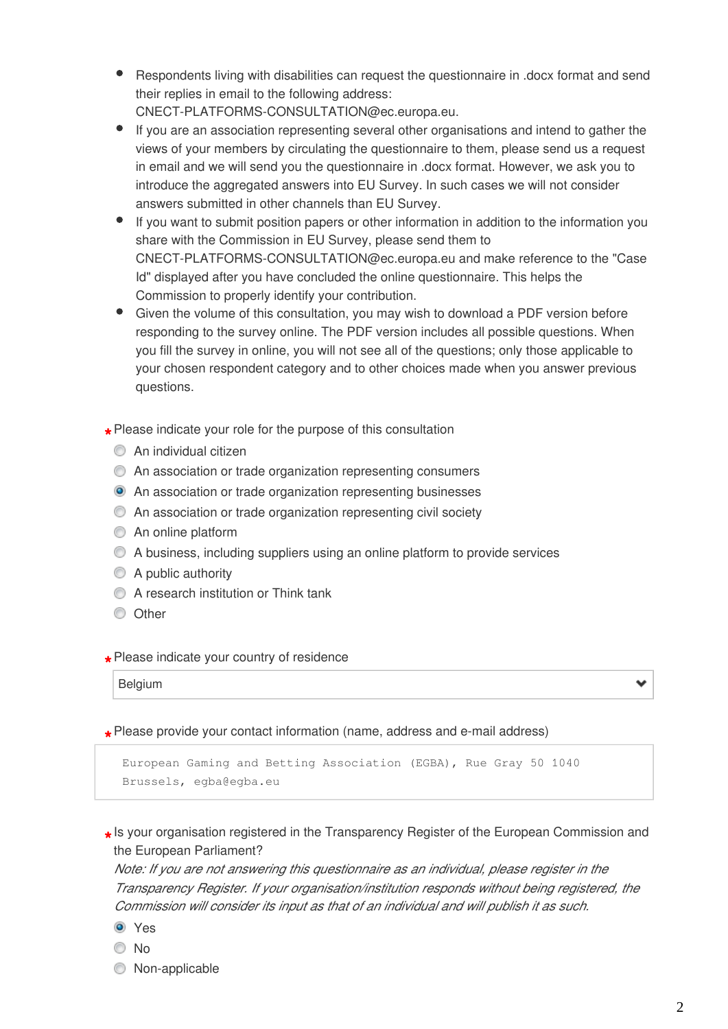- Respondents living with disabilities can request the questionnaire in .docx format and send their replies in email to the following address: CNECT-PLATFORMS-CONSULTATION@ec.europa.eu.
- If you are an association representing several other organisations and intend to gather the views of your members by circulating the questionnaire to them, please send us a request in email and we will send you the questionnaire in .docx format. However, we ask you to
	- introduce the aggregated answers into EU Survey. In such cases we will not consider answers submitted in other channels than EU Survey.
- If you want to submit position papers or other information in addition to the information you share with the Commission in EU Survey, please send them to CNECT-PLATFORMS-CONSULTATION@ec.europa.eu and make reference to the "Case Id" displayed after you have concluded the online questionnaire. This helps the Commission to properly identify your contribution.
- Given the volume of this consultation, you may wish to download a PDF version before responding to the survey online. The PDF version includes all possible questions. When you fill the survey in online, you will not see all of the questions; only those applicable to your chosen respondent category and to other choices made when you answer previous questions.
- **\*** Please indicate your role for the purpose of this consultation
	- **C** An individual citizen
	- An association or trade organization representing consumers
	- An association or trade organization representing businesses
	- An association or trade organization representing civil society
	- **An online platform**
	- A business, including suppliers using an online platform to provide services
	- A public authority
	- **C** A research institution or Think tank
	- **Other**

# **\*** Please indicate your country of residence

Belgium

# **\*** Please provide your contact information (name, address and e-mail address)

```
European Gaming and Betting Association (EGBA), Rue Gray 50 1040
Brussels, egba@egba.eu
```
**\*** Is your organisation registered in the Transparency Register of the European Commission and the European Parliament?

*Note: If you are not answering this questionnaire as an individual, please register in the Transparency Register. If your organisation/institution responds without being registered, the Commission will consider its input as that of an individual and will publish it as such.*

- **O** Yes
- No
- $\circledcirc$  Non-applicable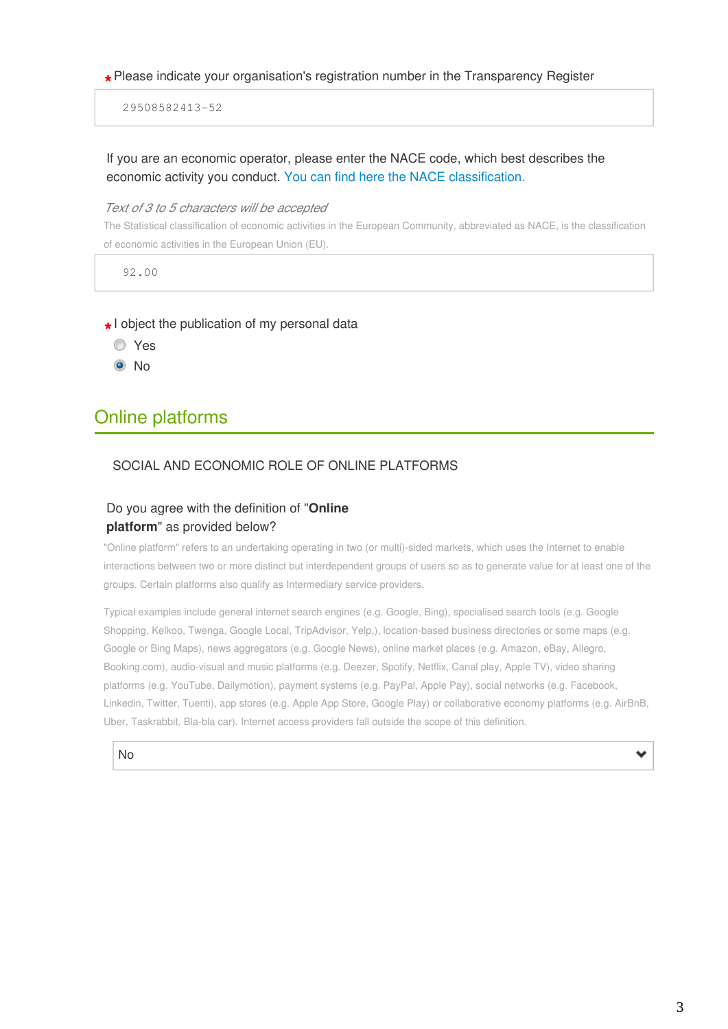# **\*** Please indicate your organisation's registration number in the Transparency Register

29508582413-52

## If you are an economic operator, please enter the NACE code, which best describes the economic activity you conduct. [You can find here the NACE classification.](http://ec.europa.eu/eurostat/ramon/nomenclatures/index.cfm?TargetUrl=LST_NOM_DTL&StrNom=NACE_REV2&StrLanguageCode=EN)

### *Text of 3 to 5 characters will be accepted*

The Statistical classification of economic activities in the European Community, abbreviated as NACE, is the classification of economic activities in the European Union (EU).

92.00

# **\*** I object the publication of my personal data

- Yes
- <sup>O</sup>No

## Online platforms

## SOCIAL AND ECONOMIC ROLE OF ONLINE PLATFORMS

## Do you agree with the definition of "**Online platform**" as provided below?

"Online platform" refers to an undertaking operating in two (or multi)-sided markets, which uses the Internet to enable interactions between two or more distinct but interdependent groups of users so as to generate value for at least one of the groups. Certain platforms also qualify as Intermediary service providers.

Typical examples include general internet search engines (e.g. Google, Bing), specialised search tools (e.g. Google Shopping, Kelkoo, Twenga, Google Local, TripAdvisor, Yelp,), location-based business directories or some maps (e.g. Google or Bing Maps), news aggregators (e.g. Google News), online market places (e.g. Amazon, eBay, Allegro, Booking.com), audio-visual and music platforms (e.g. Deezer, Spotify, Netflix, Canal play, Apple TV), video sharing platforms (e.g. YouTube, Dailymotion), payment systems (e.g. PayPal, Apple Pay), social networks (e.g. Facebook, Linkedin, Twitter, Tuenti), app stores (e.g. Apple App Store, Google Play) or collaborative economy platforms (e.g. AirBnB, Uber, Taskrabbit, Bla-bla car). Internet access providers fall outside the scope of this definition.



v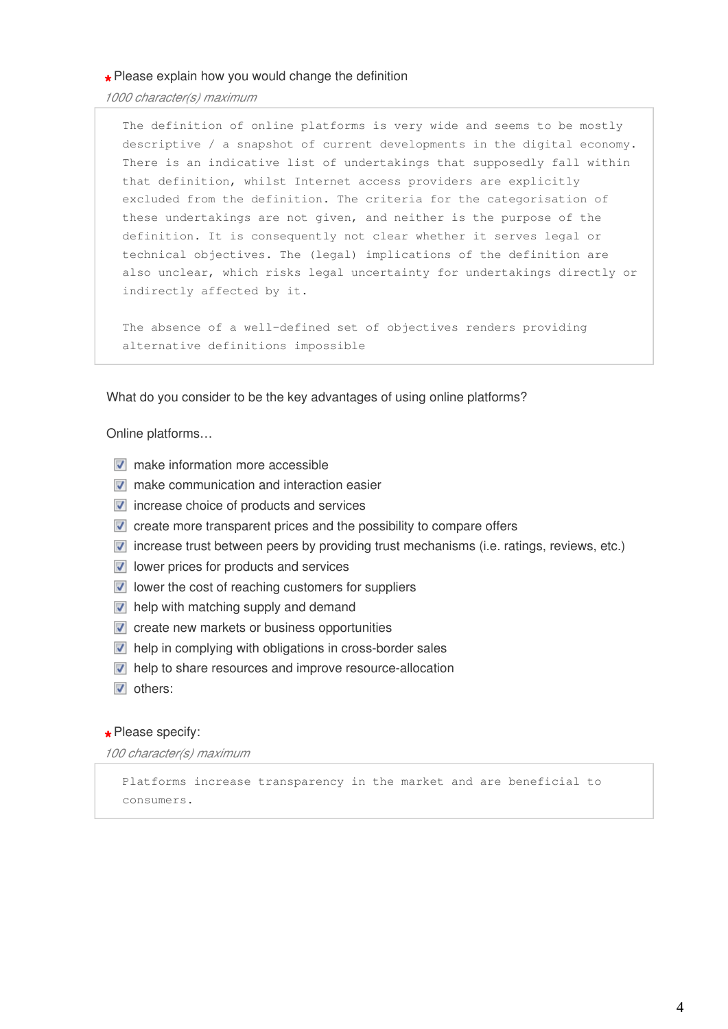**\*** Please explain how you would change the definition

*1000 character(s) maximum* 

The definition of online platforms is very wide and seems to be mostly descriptive / a snapshot of current developments in the digital economy. There is an indicative list of undertakings that supposedly fall within that definition, whilst Internet access providers are explicitly excluded from the definition. The criteria for the categorisation of these undertakings are not given, and neither is the purpose of the definition. It is consequently not clear whether it serves legal or technical objectives. The (legal) implications of the definition are also unclear, which risks legal uncertainty for undertakings directly or indirectly affected by it.

The absence of a well-defined set of objectives renders providing alternative definitions impossible

What do you consider to be the key advantages of using online platforms?

Online platforms…

- $\nabla$  make information more accessible
- $\nabla$  make communication and interaction easier
- $\triangledown$  increase choice of products and services
- $\blacksquare$  create more transparent prices and the possibility to compare offers
- $\blacksquare$  increase trust between peers by providing trust mechanisms (i.e. ratings, reviews, etc.)
- $\triangledown$  lower prices for products and services
- $\blacksquare$  lower the cost of reaching customers for suppliers
- $\triangledown$  help with matching supply and demand
- $\triangledown$  create new markets or business opportunities
- **M** help in complying with obligations in cross-border sales
- $\blacksquare$  help to share resources and improve resource-allocation
- **v** others:

## **\*** Please specify:

*100 character(s) maximum* 

Platforms increase transparency in the market and are beneficial to consumers.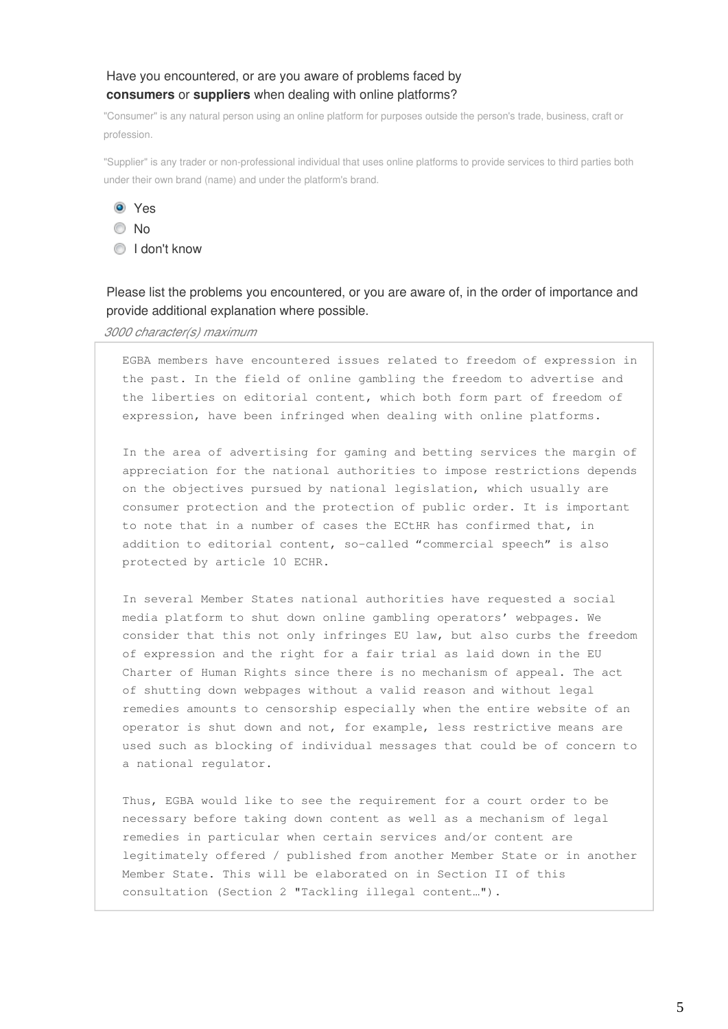## Have you encountered, or are you aware of problems faced by **consumers** or **suppliers** when dealing with online platforms?

"Consumer" is any natural person using an online platform for purposes outside the person's trade, business, craft or profession.

"Supplier" is any trader or non-professional individual that uses online platforms to provide services to third parties both under their own brand (name) and under the platform's brand.

Yes

No



Please list the problems you encountered, or you are aware of, in the order of importance and provide additional explanation where possible.

*3000 character(s) maximum* 

EGBA members have encountered issues related to freedom of expression in the past. In the field of online gambling the freedom to advertise and the liberties on editorial content, which both form part of freedom of expression, have been infringed when dealing with online platforms.

In the area of advertising for gaming and betting services the margin of appreciation for the national authorities to impose restrictions depends on the objectives pursued by national legislation, which usually are consumer protection and the protection of public order. It is important to note that in a number of cases the ECtHR has confirmed that, in addition to editorial content, so-called "commercial speech" is also protected by article 10 ECHR.

In several Member States national authorities have requested a social media platform to shut down online gambling operators' webpages. We consider that this not only infringes EU law, but also curbs the freedom of expression and the right for a fair trial as laid down in the EU Charter of Human Rights since there is no mechanism of appeal. The act of shutting down webpages without a valid reason and without legal remedies amounts to censorship especially when the entire website of an operator is shut down and not, for example, less restrictive means are used such as blocking of individual messages that could be of concern to a national regulator.

Thus, EGBA would like to see the requirement for a court order to be necessary before taking down content as well as a mechanism of legal remedies in particular when certain services and/or content are legitimately offered / published from another Member State or in another Member State. This will be elaborated on in Section II of this consultation (Section 2 "Tackling illegal content…").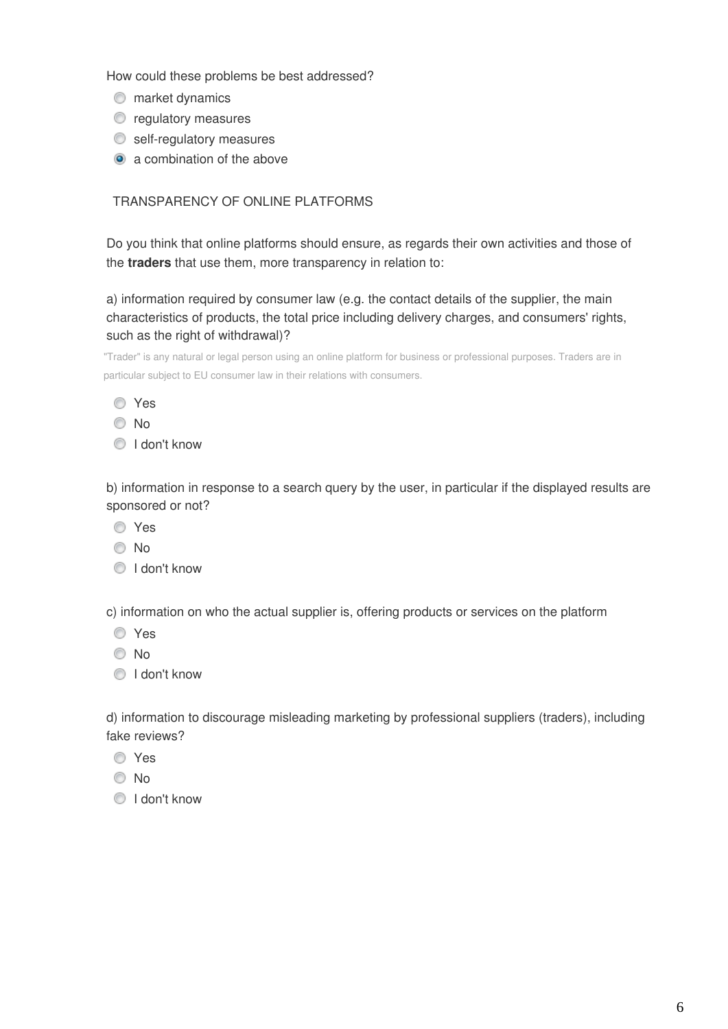How could these problems be best addressed?

- $\bullet$  market dynamics
- $\bullet$  regulatory measures
- self-regulatory measures
- a combination of the above

## TRANSPARENCY OF ONLINE PLATFORMS

Do you think that online platforms should ensure, as regards their own activities and those of the **traders** that use them, more transparency in relation to:

a) information required by consumer law (e.g. the contact details of the supplier, the main characteristics of products, the total price including delivery charges, and consumers' rights, such as the right of withdrawal)?

"Trader" is any natural or legal person using an online platform for business or professional purposes. Traders are in particular subject to EU consumer law in their relations with consumers.

- No
- **I** don't know

b) information in response to a search query by the user, in particular if the displayed results are sponsored or not?

- Yes
- No
- I don't know

c) information on who the actual supplier is, offering products or services on the platform

- Yes
- No
- **I** don't know

d) information to discourage misleading marketing by professional suppliers (traders), including fake reviews?

- Yes
- © No
- **O** I don't know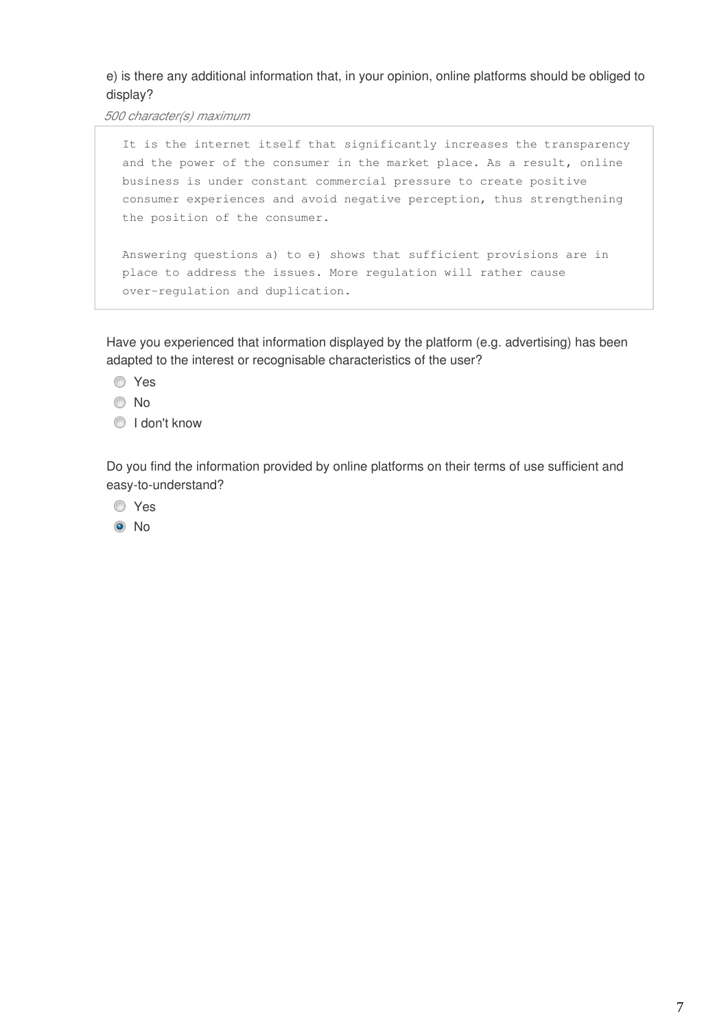## e) is there any additional information that, in your opinion, online platforms should be obliged to display?

*500 character(s) maximum* 

```
It is the internet itself that significantly increases the transparency
and the power of the consumer in the market place. As a result, online
business is under constant commercial pressure to create positive
consumer experiences and avoid negative perception, thus strengthening
the position of the consumer.
```

```
Answering questions a) to e) shows that sufficient provisions are in
place to address the issues. More regulation will rather cause
over-regulation and duplication.
```
Have you experienced that information displayed by the platform (e.g. advertising) has been adapted to the interest or recognisable characteristics of the user?

- Yes
- © No
- **O** I don't know

Do you find the information provided by online platforms on their terms of use sufficient and easy-to-understand?

- Yes
- <sup>O</sup>No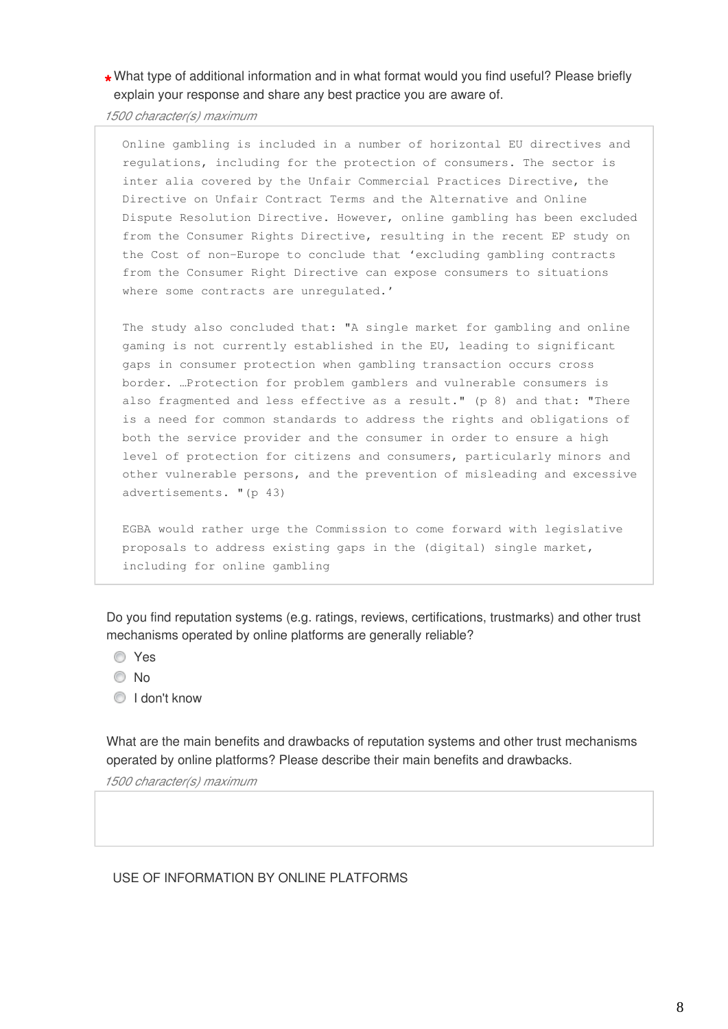## **\*** What type of additional information and in what format would you find useful? Please briefly explain your response and share any best practice you are aware of.

*1500 character(s) maximum* 

Online gambling is included in a number of horizontal EU directives and regulations, including for the protection of consumers. The sector is inter alia covered by the Unfair Commercial Practices Directive, the Directive on Unfair Contract Terms and the Alternative and Online Dispute Resolution Directive. However, online gambling has been excluded from the Consumer Rights Directive, resulting in the recent EP study on the Cost of non-Europe to conclude that 'excluding gambling contracts from the Consumer Right Directive can expose consumers to situations where some contracts are unregulated.'

The study also concluded that: "A single market for gambling and online gaming is not currently established in the EU, leading to significant gaps in consumer protection when gambling transaction occurs cross border. …Protection for problem gamblers and vulnerable consumers is also fragmented and less effective as a result." (p 8) and that: "There is a need for common standards to address the rights and obligations of both the service provider and the consumer in order to ensure a high level of protection for citizens and consumers, particularly minors and other vulnerable persons, and the prevention of misleading and excessive advertisements. "(p 43)

EGBA would rather urge the Commission to come forward with legislative proposals to address existing gaps in the (digital) single market, including for online gambling

Do you find reputation systems (e.g. ratings, reviews, certifications, trustmarks) and other trust mechanisms operated by online platforms are generally reliable?

- Yes
- © No
- **I** don't know

What are the main benefits and drawbacks of reputation systems and other trust mechanisms operated by online platforms? Please describe their main benefits and drawbacks.

*1500 character(s) maximum* 

## USE OF INFORMATION BY ONLINE PLATFORMS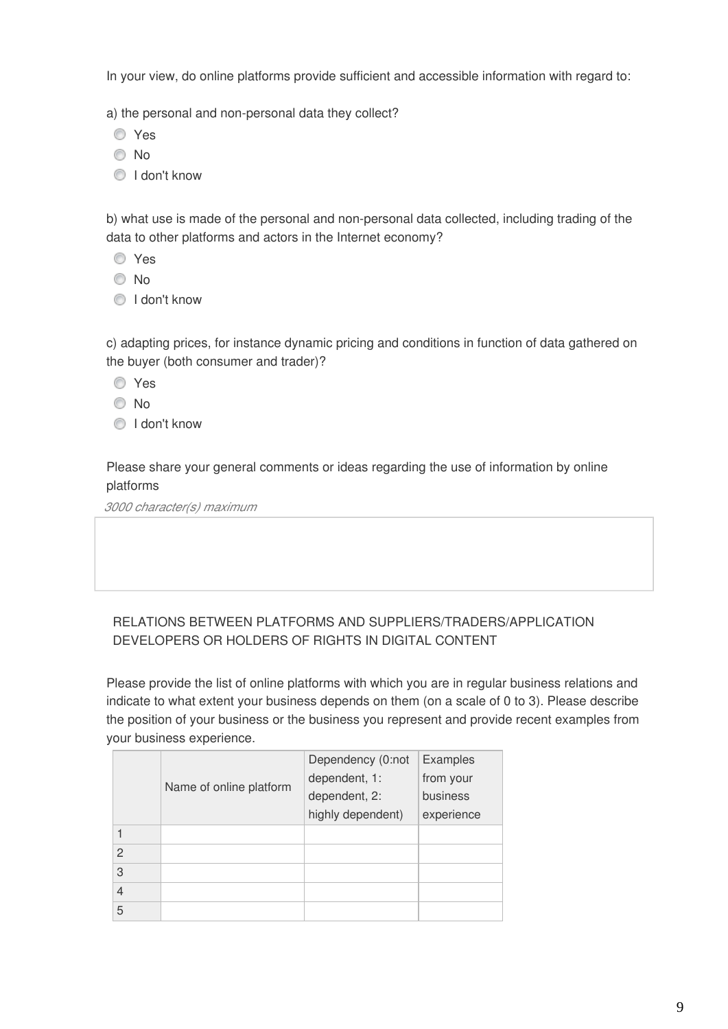In your view, do online platforms provide sufficient and accessible information with regard to:

a) the personal and non-personal data they collect?

- Yes
- No
- **I** don't know

b) what use is made of the personal and non-personal data collected, including trading of the data to other platforms and actors in the Internet economy?

- Yes
- No
- **I** don't know

c) adapting prices, for instance dynamic pricing and conditions in function of data gathered on the buyer (both consumer and trader)?

- **O** Yes
- No
- $\bigcirc$  I don't know

Please share your general comments or ideas regarding the use of information by online platforms

*3000 character(s) maximum* 

## RELATIONS BETWEEN PLATFORMS AND SUPPLIERS/TRADERS/APPLICATION DEVELOPERS OR HOLDERS OF RIGHTS IN DIGITAL CONTENT

Please provide the list of online platforms with which you are in regular business relations and indicate to what extent your business depends on them (on a scale of 0 to 3). Please describe the position of your business or the business you represent and provide recent examples from your business experience.

|                | Name of online platform | Dependency (0:not | Examples   |
|----------------|-------------------------|-------------------|------------|
|                |                         | dependent, 1:     | from your  |
|                |                         | dependent, 2:     | business   |
|                |                         | highly dependent) | experience |
| 1              |                         |                   |            |
| 2              |                         |                   |            |
| 3              |                         |                   |            |
| $\overline{4}$ |                         |                   |            |
| 5              |                         |                   |            |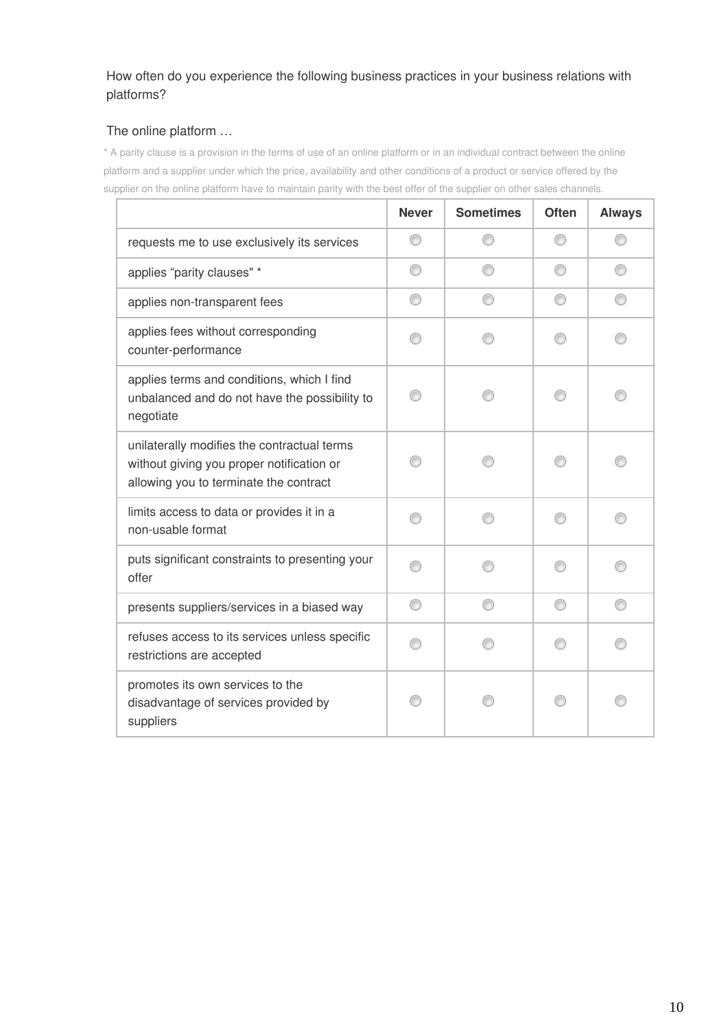## How often do you experience the following business practices in your business relations with platforms?

## The online platform …

\* A parity clause is a provision in the terms of use of an online platform or in an individual contract between the online platform and a supplier under which the price, availability and other conditions of a product or service offered by the supplier on the online platform have to maintain parity with the best offer of the supplier on other sales channels.

|                                                                                                                                    | <b>Never</b> | <b>Sometimes</b> | <b>Often</b> | <b>Always</b> |
|------------------------------------------------------------------------------------------------------------------------------------|--------------|------------------|--------------|---------------|
| requests me to use exclusively its services                                                                                        | ⊙            |                  | 60           |               |
| applies "parity clauses" *                                                                                                         | ⊙            |                  | ⋒            |               |
| applies non-transparent fees                                                                                                       |              |                  |              |               |
| applies fees without corresponding<br>counter-performance                                                                          |              |                  |              |               |
| applies terms and conditions, which I find<br>unbalanced and do not have the possibility to<br>negotiate                           |              |                  |              |               |
| unilaterally modifies the contractual terms<br>without giving you proper notification or<br>allowing you to terminate the contract |              |                  |              |               |
| limits access to data or provides it in a<br>non-usable format                                                                     |              |                  |              |               |
| puts significant constraints to presenting your<br>offer                                                                           |              |                  |              |               |
| presents suppliers/services in a biased way                                                                                        | ⊙            |                  | 0            | ⋒             |
| refuses access to its services unless specific<br>restrictions are accepted                                                        |              |                  |              |               |
| promotes its own services to the<br>disadvantage of services provided by<br>suppliers                                              |              |                  |              |               |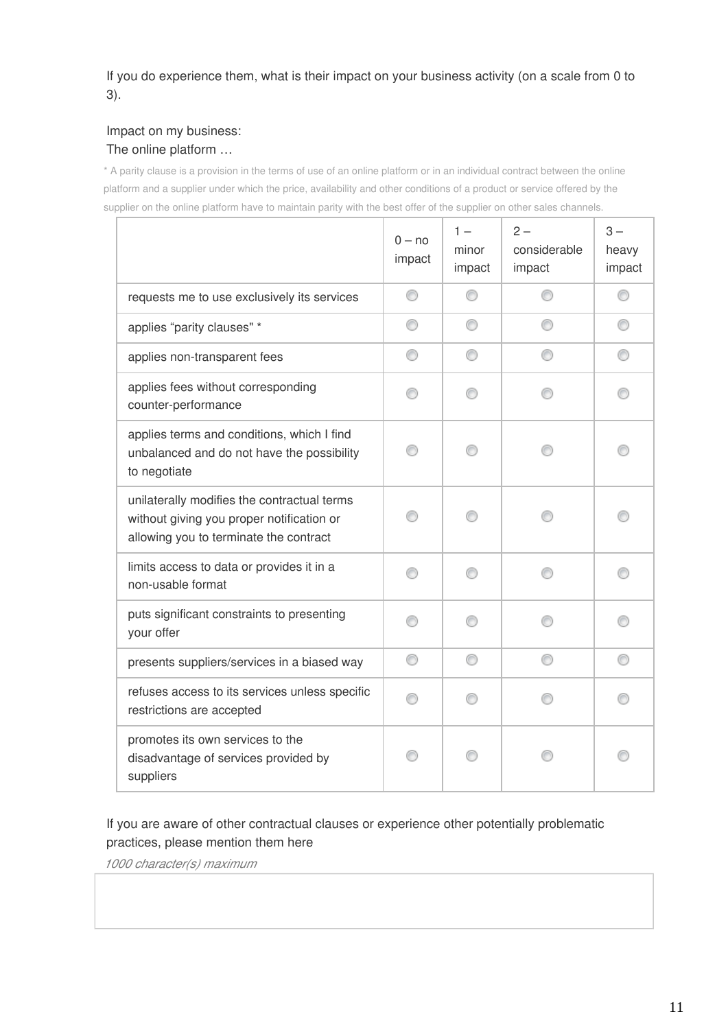If you do experience them, what is their impact on your business activity (on a scale from 0 to 3).

## Impact on my business: The online platform …

\* A parity clause is a provision in the terms of use of an online platform or in an individual contract between the online platform and a supplier under which the price, availability and other conditions of a product or service offered by the supplier on the online platform have to maintain parity with the best offer of the supplier on other sales channels.

|                                                                                                                                    | $0 - no$<br>impact | $1 -$<br>minor<br>impact | $2 -$<br>considerable<br>impact | $3 -$<br>heavy<br>impact |
|------------------------------------------------------------------------------------------------------------------------------------|--------------------|--------------------------|---------------------------------|--------------------------|
| requests me to use exclusively its services                                                                                        | ⊙                  | ⊙                        |                                 |                          |
| applies "parity clauses" *                                                                                                         | ⊙                  | ⊙                        |                                 | ⊙                        |
| applies non-transparent fees                                                                                                       |                    | ⊙                        |                                 |                          |
| applies fees without corresponding<br>counter-performance                                                                          |                    | ∩                        |                                 |                          |
| applies terms and conditions, which I find<br>unbalanced and do not have the possibility<br>to negotiate                           |                    |                          |                                 |                          |
| unilaterally modifies the contractual terms<br>without giving you proper notification or<br>allowing you to terminate the contract |                    |                          |                                 |                          |
| limits access to data or provides it in a<br>non-usable format                                                                     | ∩                  |                          |                                 |                          |
| puts significant constraints to presenting<br>your offer                                                                           |                    |                          |                                 |                          |
| presents suppliers/services in a biased way                                                                                        |                    | ⊙                        |                                 |                          |
| refuses access to its services unless specific<br>restrictions are accepted                                                        |                    |                          |                                 |                          |
| promotes its own services to the<br>disadvantage of services provided by<br>suppliers                                              |                    |                          |                                 |                          |

If you are aware of other contractual clauses or experience other potentially problematic practices, please mention them here

*1000 character(s) maximum*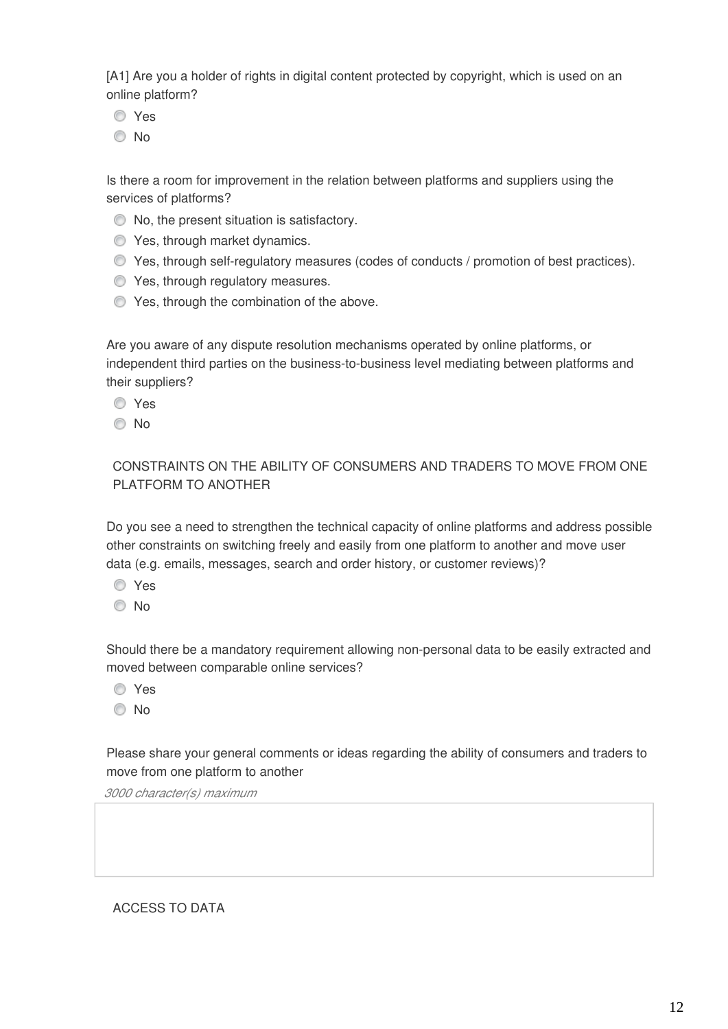[A1] Are you a holder of rights in digital content protected by copyright, which is used on an online platform?

- **O** Yes
- © No

Is there a room for improvement in the relation between platforms and suppliers using the services of platforms?

- $\bullet$  No, the present situation is satisfactory.
- **O** Yes, through market dynamics.
- $\bullet$  Yes, through self-regulatory measures (codes of conducts / promotion of best practices).
- **O** Yes, through regulatory measures.
- **C** Yes, through the combination of the above.

Are you aware of any dispute resolution mechanisms operated by online platforms, or independent third parties on the business-to-business level mediating between platforms and their suppliers?

Yes

© No

## CONSTRAINTS ON THE ABILITY OF CONSUMERS AND TRADERS TO MOVE FROM ONE PLATFORM TO ANOTHER

Do you see a need to strengthen the technical capacity of online platforms and address possible other constraints on switching freely and easily from one platform to another and move user data (e.g. emails, messages, search and order history, or customer reviews)?

- Yes
- <sup>O</sup>No

Should there be a mandatory requirement allowing non-personal data to be easily extracted and moved between comparable online services?

- Yes
- No

Please share your general comments or ideas regarding the ability of consumers and traders to move from one platform to another

*3000 character(s) maximum* 

ACCESS TO DATA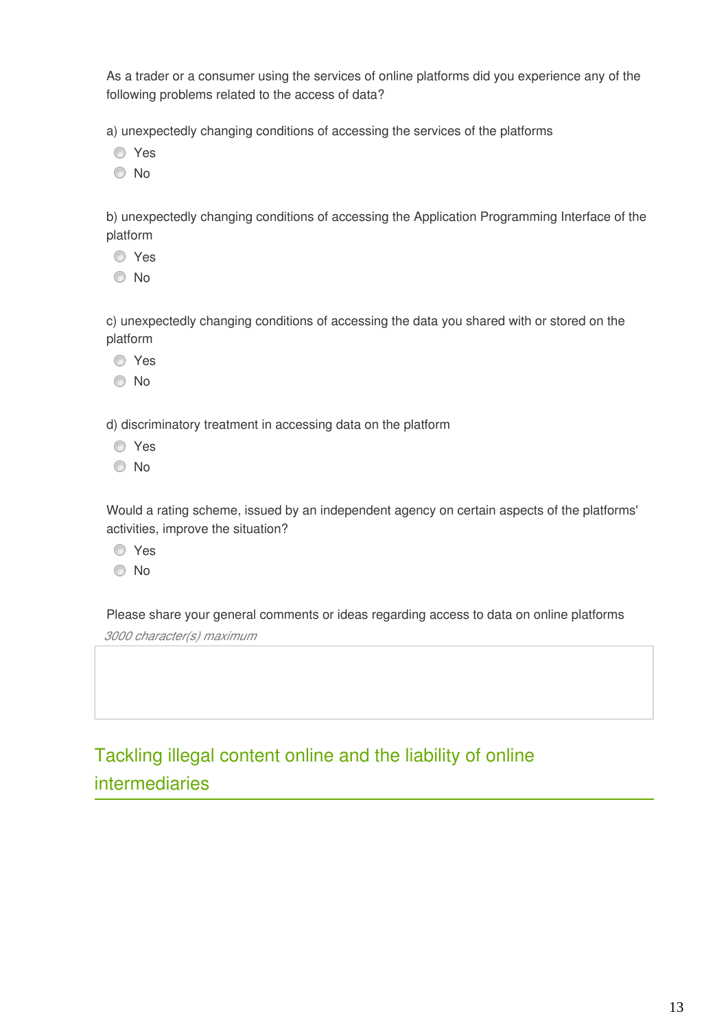As a trader or a consumer using the services of online platforms did you experience any of the following problems related to the access of data?

a) unexpectedly changing conditions of accessing the services of the platforms

- Yes
- No

b) unexpectedly changing conditions of accessing the Application Programming Interface of the platform

- Yes
- No

c) unexpectedly changing conditions of accessing the data you shared with or stored on the platform

- **O** Yes
- No

d) discriminatory treatment in accessing data on the platform

- Yes
- © No

Would a rating scheme, issued by an independent agency on certain aspects of the platforms' activities, improve the situation?

- Yes
- © No

Please share your general comments or ideas regarding access to data on online platforms

*3000 character(s) maximum* 

Tackling illegal content online and the liability of online intermediaries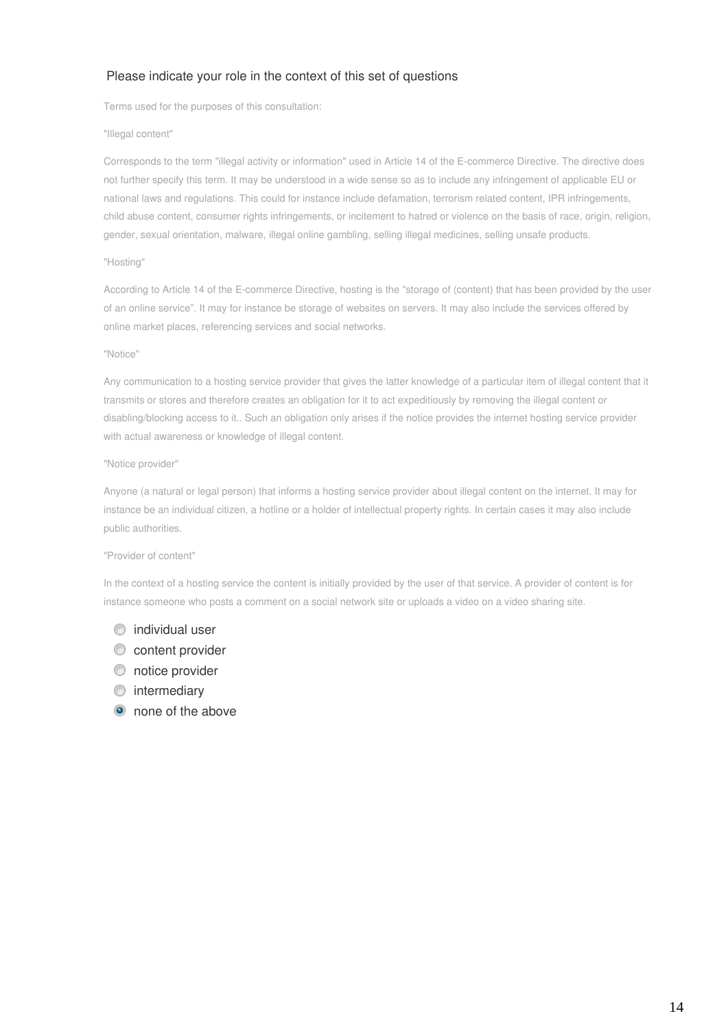### Please indicate your role in the context of this set of questions

Terms used for the purposes of this consultation:

#### "Illegal content"

Corresponds to the term "illegal activity or information" used in Article 14 of the E-commerce Directive. The directive does not further specify this term. It may be understood in a wide sense so as to include any infringement of applicable EU or national laws and regulations. This could for instance include defamation, terrorism related content, IPR infringements, child abuse content, consumer rights infringements, or incitement to hatred or violence on the basis of race, origin, religion, gender, sexual orientation, malware, illegal online gambling, selling illegal medicines, selling unsafe products.

#### "Hosting"

According to Article 14 of the E-commerce Directive, hosting is the "storage of (content) that has been provided by the user of an online service". It may for instance be storage of websites on servers. It may also include the services offered by online market places, referencing services and social networks.

#### "Notice"

Any communication to a hosting service provider that gives the latter knowledge of a particular item of illegal content that it transmits or stores and therefore creates an obligation for it to act expeditiously by removing the illegal content or disabling/blocking access to it.. Such an obligation only arises if the notice provides the internet hosting service provider with actual awareness or knowledge of illegal content.

#### "Notice provider"

Anyone (a natural or legal person) that informs a hosting service provider about illegal content on the internet. It may for instance be an individual citizen, a hotline or a holder of intellectual property rights. In certain cases it may also include public authorities.

#### "Provider of content"

In the context of a hosting service the content is initially provided by the user of that service. A provider of content is for instance someone who posts a comment on a social network site or uploads a video on a video sharing site.

### $\circ$  individual user

- $\circledcirc$  content provider
- $\circledcirc$  notice provider
- **O** intermediary
- none of the above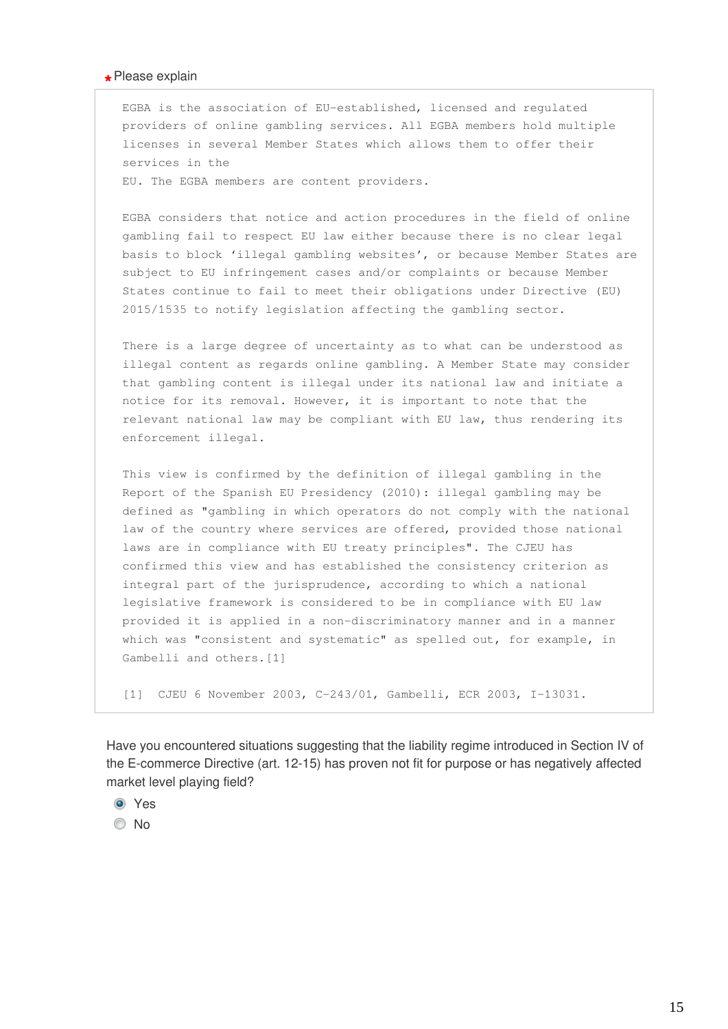## **\*** Please explain

EGBA is the association of EU-established, licensed and regulated providers of online gambling services. All EGBA members hold multiple licenses in several Member States which allows them to offer their services in the

EU. The EGBA members are content providers.

EGBA considers that notice and action procedures in the field of online gambling fail to respect EU law either because there is no clear legal basis to block 'illegal gambling websites', or because Member States are subject to EU infringement cases and/or complaints or because Member States continue to fail to meet their obligations under Directive (EU) 2015/1535 to notify legislation affecting the gambling sector.

There is a large degree of uncertainty as to what can be understood as illegal content as regards online gambling. A Member State may consider that gambling content is illegal under its national law and initiate a notice for its removal. However, it is important to note that the relevant national law may be compliant with EU law, thus rendering its enforcement illegal.

This view is confirmed by the definition of illegal gambling in the Report of the Spanish EU Presidency (2010): illegal gambling may be defined as "gambling in which operators do not comply with the national law of the country where services are offered, provided those national laws are in compliance with EU treaty principles". The CJEU has confirmed this view and has established the consistency criterion as integral part of the jurisprudence, according to which a national legislative framework is considered to be in compliance with EU law provided it is applied in a non-discriminatory manner and in a manner which was "consistent and systematic" as spelled out, for example, in Gambelli and others.[1]

[1] CJEU 6 November 2003, C-243/01, Gambelli, ECR 2003, I-13031.

Have you encountered situations suggesting that the liability regime introduced in Section IV of the E-commerce Directive (art. 12-15) has proven not fit for purpose or has negatively affected market level playing field?

<sup>O</sup> Yes

© No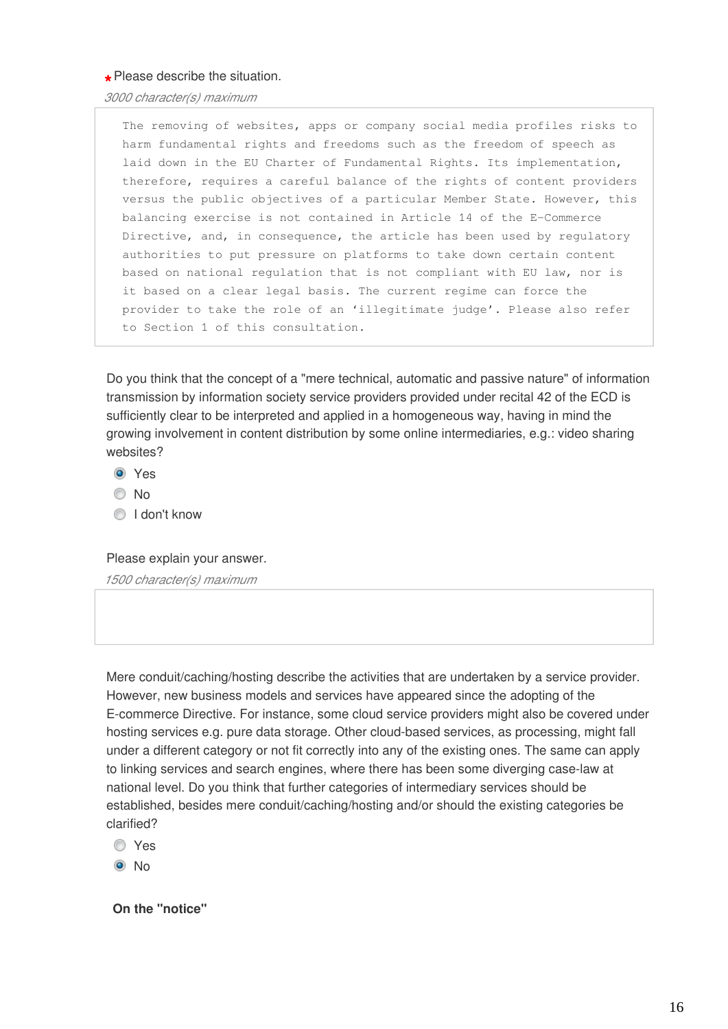**\*** Please describe the situation.

*3000 character(s) maximum* 

The removing of websites, apps or company social media profiles risks to harm fundamental rights and freedoms such as the freedom of speech as laid down in the EU Charter of Fundamental Rights. Its implementation, therefore, requires a careful balance of the rights of content providers versus the public objectives of a particular Member State. However, this balancing exercise is not contained in Article 14 of the E-Commerce Directive, and, in consequence, the article has been used by regulatory authorities to put pressure on platforms to take down certain content based on national regulation that is not compliant with EU law, nor is it based on a clear legal basis. The current regime can force the provider to take the role of an 'illegitimate judge'. Please also refer to Section 1 of this consultation.

Do you think that the concept of a "mere technical, automatic and passive nature" of information transmission by information society service providers provided under recital 42 of the ECD is sufficiently clear to be interpreted and applied in a homogeneous way, having in mind the growing involvement in content distribution by some online intermediaries, e.g.: video sharing websites?

- <sup>O</sup> Yes
- © No
- **I** don't know

#### Please explain your answer.

*1500 character(s) maximum* 

Mere conduit/caching/hosting describe the activities that are undertaken by a service provider. However, new business models and services have appeared since the adopting of the E-commerce Directive. For instance, some cloud service providers might also be covered under hosting services e.g. pure data storage. Other cloud-based services, as processing, might fall under a different category or not fit correctly into any of the existing ones. The same can apply to linking services and search engines, where there has been some diverging case-law at national level. Do you think that further categories of intermediary services should be established, besides mere conduit/caching/hosting and/or should the existing categories be clarified?

Yes

 $\odot$  No

**On the "notice"**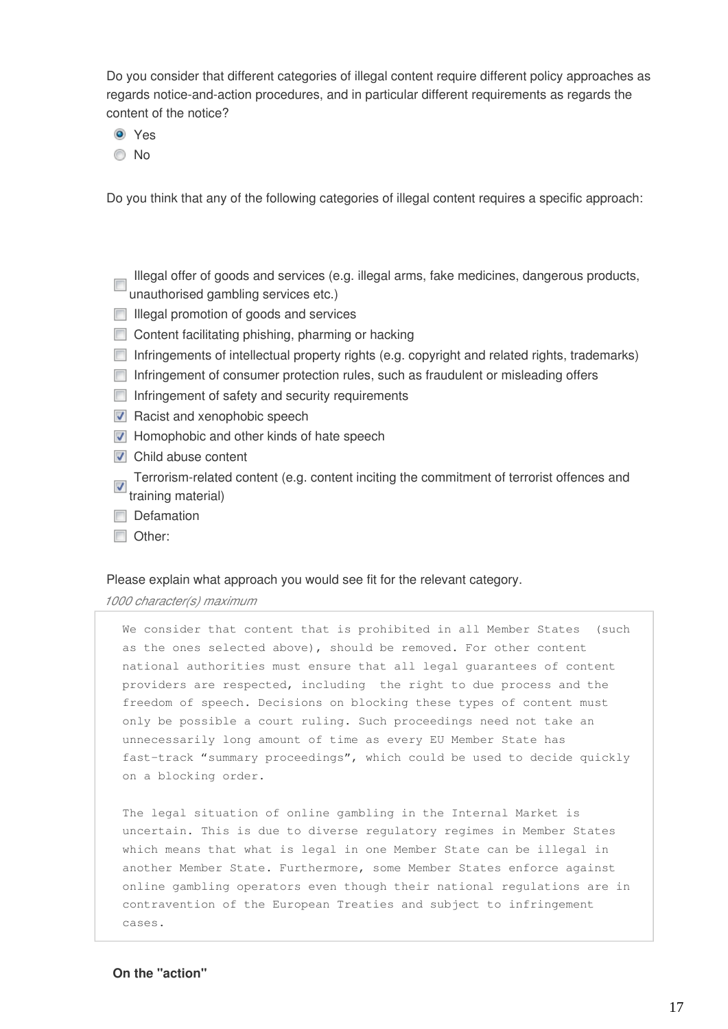Do you consider that different categories of illegal content require different policy approaches as regards notice-and-action procedures, and in particular different requirements as regards the content of the notice?

- <sup>O</sup> Yes
- No

Do you think that any of the following categories of illegal content requires a specific approach:

- Illegal offer of goods and services (e.g. illegal arms, fake medicines, dangerous products, unauthorised gambling services etc.)
- **Illegal promotion of goods and services**
- Content facilitating phishing, pharming or hacking
- $\Box$  Infringements of intellectual property rights (e.g. copyright and related rights, trademarks)
- Infringement of consumer protection rules, such as fraudulent or misleading offers
- $\Box$  Infringement of safety and security requirements
- $\nabla$  Racist and xenophobic speech
- $\nabla$  Homophobic and other kinds of hate speech
- **D** Child abuse content
- Terrorism-related content (e.g. content inciting the commitment of terrorist offences and training material)
- Defamation
- Other:

#### Please explain what approach you would see fit for the relevant category.

*1000 character(s) maximum* 

We consider that content that is prohibited in all Member States (such as the ones selected above), should be removed. For other content national authorities must ensure that all legal guarantees of content providers are respected, including the right to due process and the freedom of speech. Decisions on blocking these types of content must only be possible a court ruling. Such proceedings need not take an unnecessarily long amount of time as every EU Member State has fast-track "summary proceedings", which could be used to decide quickly on a blocking order.

The legal situation of online gambling in the Internal Market is uncertain. This is due to diverse regulatory regimes in Member States which means that what is legal in one Member State can be illegal in another Member State. Furthermore, some Member States enforce against online gambling operators even though their national regulations are in contravention of the European Treaties and subject to infringement cases.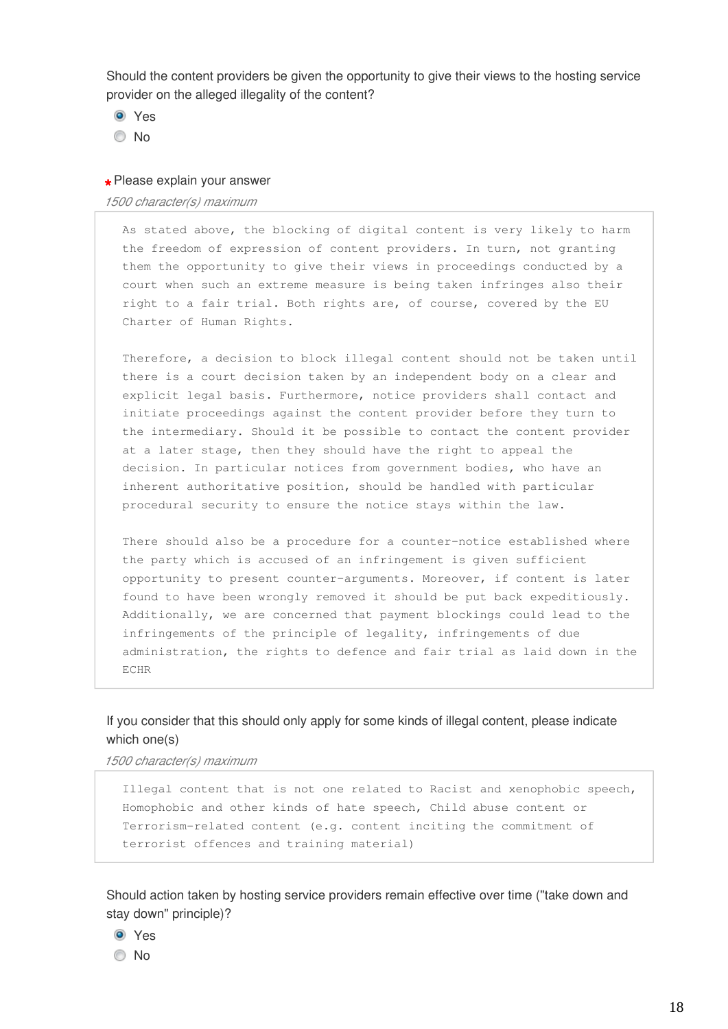Should the content providers be given the opportunity to give their views to the hosting service provider on the alleged illegality of the content?

- <sup>O</sup> Yes
- © No

## **\*** Please explain your answer

#### *1500 character(s) maximum*

As stated above, the blocking of digital content is very likely to harm the freedom of expression of content providers. In turn, not granting them the opportunity to give their views in proceedings conducted by a court when such an extreme measure is being taken infringes also their right to a fair trial. Both rights are, of course, covered by the EU Charter of Human Rights.

Therefore, a decision to block illegal content should not be taken until there is a court decision taken by an independent body on a clear and explicit legal basis. Furthermore, notice providers shall contact and initiate proceedings against the content provider before they turn to the intermediary. Should it be possible to contact the content provider at a later stage, then they should have the right to appeal the decision. In particular notices from government bodies, who have an inherent authoritative position, should be handled with particular procedural security to ensure the notice stays within the law.

There should also be a procedure for a counter-notice established where the party which is accused of an infringement is given sufficient opportunity to present counter-arguments. Moreover, if content is later found to have been wrongly removed it should be put back expeditiously. Additionally, we are concerned that payment blockings could lead to the infringements of the principle of legality, infringements of due administration, the rights to defence and fair trial as laid down in the ECHR

## If you consider that this should only apply for some kinds of illegal content, please indicate which one(s)

*1500 character(s) maximum* 

Illegal content that is not one related to Racist and xenophobic speech, Homophobic and other kinds of hate speech, Child abuse content or Terrorism-related content (e.g. content inciting the commitment of terrorist offences and training material)

Should action taken by hosting service providers remain effective over time ("take down and stay down" principle)?

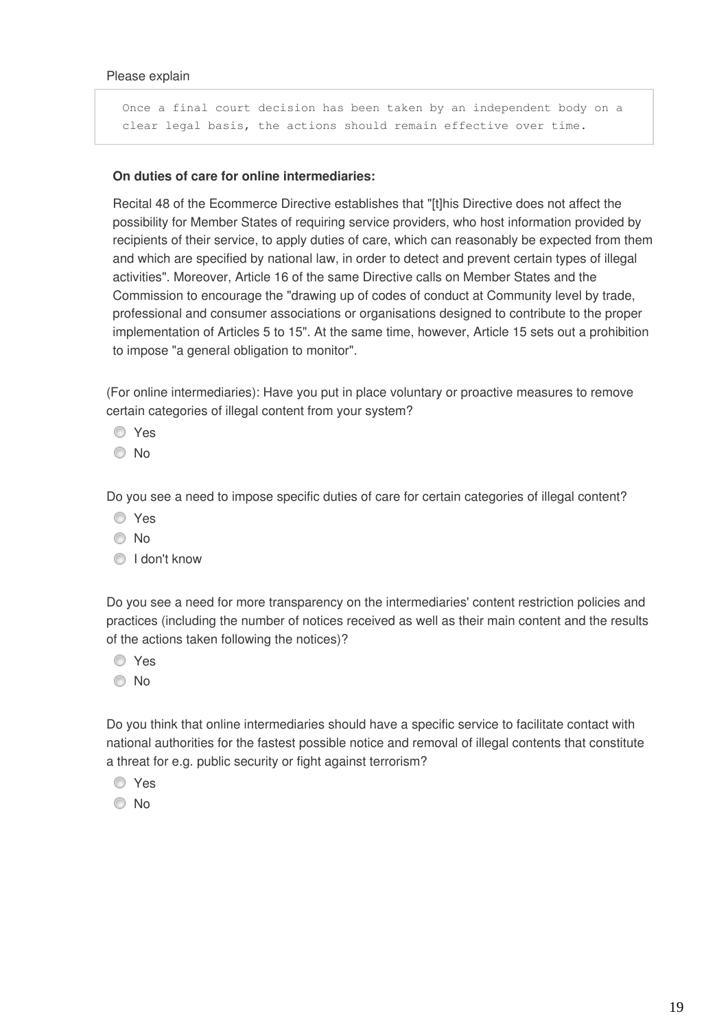Once a final court decision has been taken by an independent body on a clear legal basis, the actions should remain effective over time.

### **On duties of care for online intermediaries:**

Recital 48 of the Ecommerce Directive establishes that "[t]his Directive does not affect the possibility for Member States of requiring service providers, who host information provided by recipients of their service, to apply duties of care, which can reasonably be expected from them and which are specified by national law, in order to detect and prevent certain types of illegal activities". Moreover, Article 16 of the same Directive calls on Member States and the Commission to encourage the "drawing up of codes of conduct at Community level by trade, professional and consumer associations or organisations designed to contribute to the proper implementation of Articles 5 to 15". At the same time, however, Article 15 sets out a prohibition to impose "a general obligation to monitor".

(For online intermediaries): Have you put in place voluntary or proactive measures to remove certain categories of illegal content from your system?

- Yes
- © No

Do you see a need to impose specific duties of care for certain categories of illegal content?

- Yes
- No
- **I** don't know

Do you see a need for more transparency on the intermediaries' content restriction policies and practices (including the number of notices received as well as their main content and the results of the actions taken following the notices)?

- Yes
- No

Do you think that online intermediaries should have a specific service to facilitate contact with national authorities for the fastest possible notice and removal of illegal contents that constitute a threat for e.g. public security or fight against terrorism?

- Yes
- © No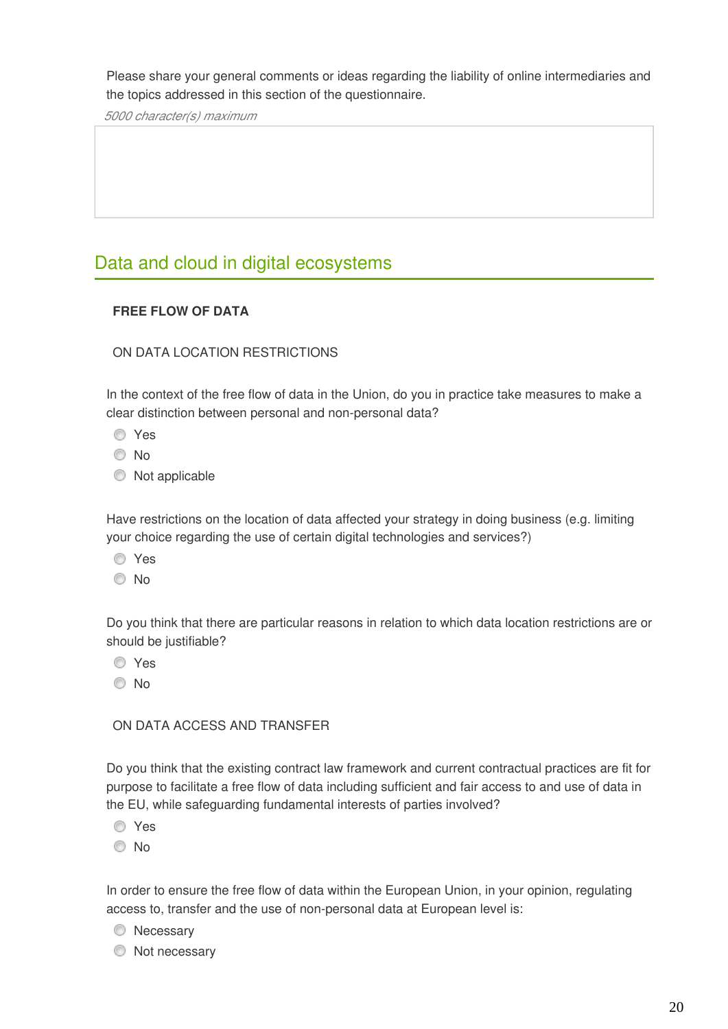Please share your general comments or ideas regarding the liability of online intermediaries and the topics addressed in this section of the questionnaire.

*5000 character(s) maximum* 

## Data and cloud in digital ecosystems

## **FREE FLOW OF DATA**

## ON DATA LOCATION RESTRICTIONS

In the context of the free flow of data in the Union, do you in practice take measures to make a clear distinction between personal and non-personal data?

- Yes
- No
- $\bullet$  Not applicable

Have restrictions on the location of data affected your strategy in doing business (e.g. limiting your choice regarding the use of certain digital technologies and services?)

- Yes
- No

Do you think that there are particular reasons in relation to which data location restrictions are or should be justifiable?

- Yes
- © No

## ON DATA ACCESS AND TRANSFER

Do you think that the existing contract law framework and current contractual practices are fit for purpose to facilitate a free flow of data including sufficient and fair access to and use of data in the EU, while safeguarding fundamental interests of parties involved?

Yes

© No

In order to ensure the free flow of data within the European Union, in your opinion, regulating access to, transfer and the use of non-personal data at European level is:

- **Necessary**
- $\bullet$  Not necessary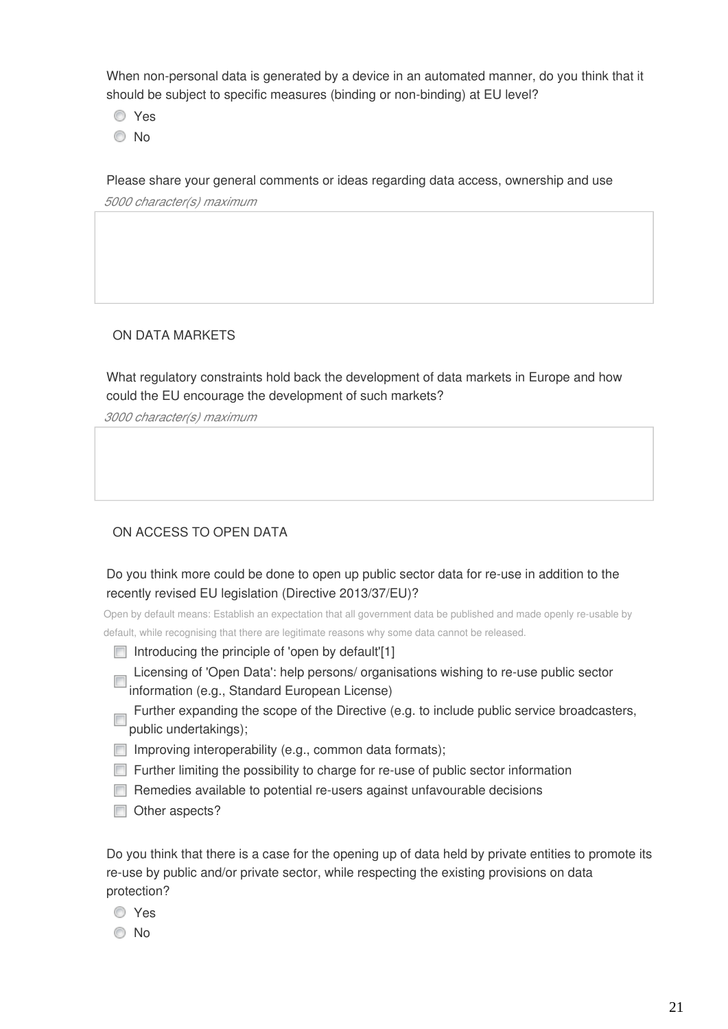When non-personal data is generated by a device in an automated manner, do you think that it should be subject to specific measures (binding or non-binding) at EU level?

- Yes
- © No

Please share your general comments or ideas regarding data access, ownership and use

*5000 character(s) maximum* 

## ON DATA MARKETS

What regulatory constraints hold back the development of data markets in Europe and how could the EU encourage the development of such markets?

*3000 character(s) maximum* 

## ON ACCESS TO OPEN DATA

Do you think more could be done to open up public sector data for re-use in addition to the recently revised EU legislation (Directive 2013/37/EU)?

Open by default means: Establish an expectation that all government data be published and made openly re-usable by default, while recognising that there are legitimate reasons why some data cannot be released.

- Introducing the principle of 'open by default'[1]
- Licensing of 'Open Data': help persons/ organisations wishing to re-use public sector **Expressed Standard European License)**
- Further expanding the scope of the Directive (e.g. to include public service broadcasters, public undertakings);
- $\Box$  Improving interoperability (e.g., common data formats);
- Further limiting the possibility to charge for re-use of public sector information
- Remedies available to potential re-users against unfavourable decisions
- Other aspects?

Do you think that there is a case for the opening up of data held by private entities to promote its re-use by public and/or private sector, while respecting the existing provisions on data protection?

- Yes
- © No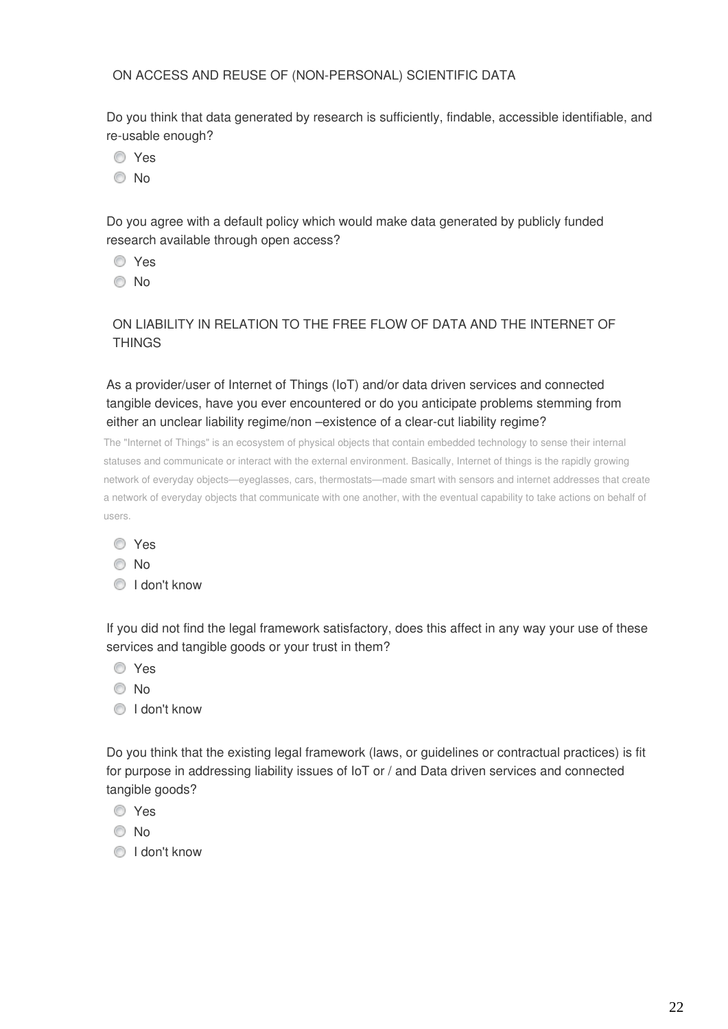ON ACCESS AND REUSE OF (NON-PERSONAL) SCIENTIFIC DATA

Do you think that data generated by research is sufficiently, findable, accessible identifiable, and re-usable enough?

- Yes
- <sup>O</sup>No

Do you agree with a default policy which would make data generated by publicly funded research available through open access?

- Yes
- © No

## ON LIABILITY IN RELATION TO THE FREE FLOW OF DATA AND THE INTERNET OF **THINGS**

As a provider/user of Internet of Things (IoT) and/or data driven services and connected tangible devices, have you ever encountered or do you anticipate problems stemming from either an unclear liability regime/non –existence of a clear-cut liability regime?

The "Internet of Things" is an ecosystem of physical objects that contain embedded technology to sense their internal statuses and communicate or interact with the external environment. Basically, Internet of things is the rapidly growing network of everyday objects—eyeglasses, cars, thermostats—made smart with sensors and internet addresses that create a network of everyday objects that communicate with one another, with the eventual capability to take actions on behalf of users.

- © No
- **O** I don't know

If you did not find the legal framework satisfactory, does this affect in any way your use of these services and tangible goods or your trust in them?

- Yes
- No
- **I** don't know

Do you think that the existing legal framework (laws, or guidelines or contractual practices) is fit for purpose in addressing liability issues of IoT or / and Data driven services and connected tangible goods?

- **O** Yes
- © No
- <sup>1</sup> I don't know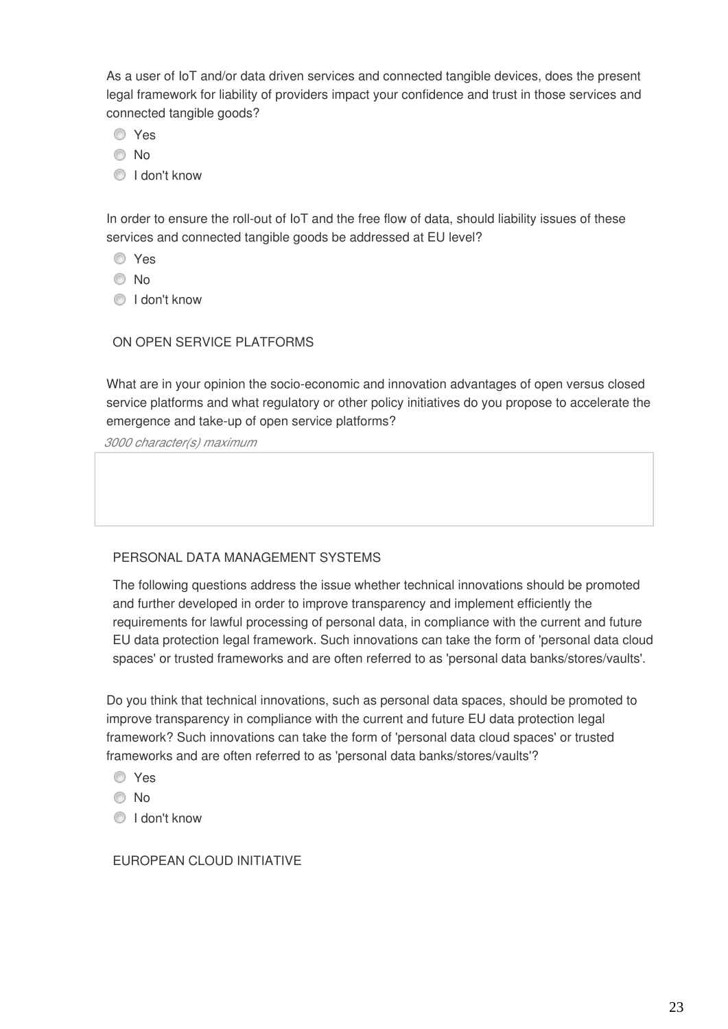As a user of IoT and/or data driven services and connected tangible devices, does the present legal framework for liability of providers impact your confidence and trust in those services and connected tangible goods?

- Yes
- No
- **I** don't know

In order to ensure the roll-out of IoT and the free flow of data, should liability issues of these services and connected tangible goods be addressed at EU level?

- Yes
- © No
- **I** don't know

## ON OPEN SERVICE PLATFORMS

What are in your opinion the socio-economic and innovation advantages of open versus closed service platforms and what regulatory or other policy initiatives do you propose to accelerate the emergence and take-up of open service platforms?

*3000 character(s) maximum* 

## PERSONAL DATA MANAGEMENT SYSTEMS

The following questions address the issue whether technical innovations should be promoted and further developed in order to improve transparency and implement efficiently the requirements for lawful processing of personal data, in compliance with the current and future EU data protection legal framework. Such innovations can take the form of 'personal data cloud spaces' or trusted frameworks and are often referred to as 'personal data banks/stores/vaults'.

Do you think that technical innovations, such as personal data spaces, should be promoted to improve transparency in compliance with the current and future EU data protection legal framework? Such innovations can take the form of 'personal data cloud spaces' or trusted frameworks and are often referred to as 'personal data banks/stores/vaults'?

- Yes
- © No
- **I** don't know

## EUROPEAN CLOUD INITIATIVE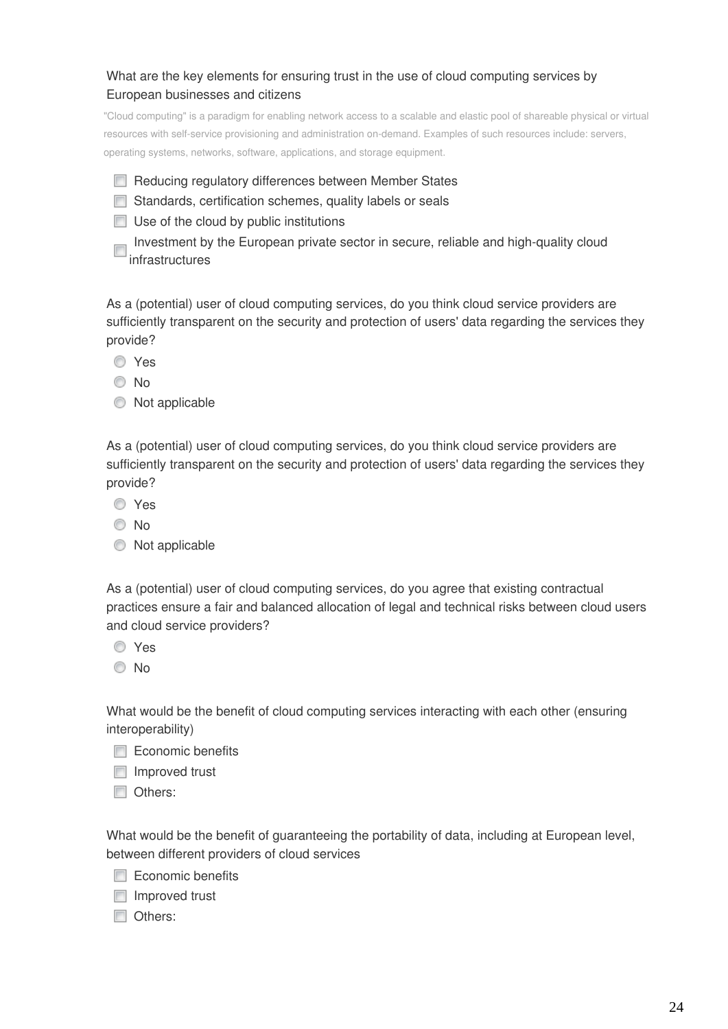## What are the key elements for ensuring trust in the use of cloud computing services by European businesses and citizens

"Cloud computing" is a paradigm for enabling network access to a scalable and elastic pool of shareable physical or virtual resources with self-service provisioning and administration on-demand. Examples of such resources include: servers, operating systems, networks, software, applications, and storage equipment.

- Reducing regulatory differences between Member States
- Standards, certification schemes, quality labels or seals
- $\Box$  Use of the cloud by public institutions
- Investment by the European private sector in secure, reliable and high-quality cloud infrastructures

As a (potential) user of cloud computing services, do you think cloud service providers are sufficiently transparent on the security and protection of users' data regarding the services they provide?

- **O** Yes
- O No
- $\bullet$  Not applicable

As a (potential) user of cloud computing services, do you think cloud service providers are sufficiently transparent on the security and protection of users' data regarding the services they provide?

- Yes
- No
- $\bullet$  Not applicable

As a (potential) user of cloud computing services, do you agree that existing contractual practices ensure a fair and balanced allocation of legal and technical risks between cloud users and cloud service providers?

- Yes
- © No

What would be the benefit of cloud computing services interacting with each other (ensuring interoperability)

- Economic benefits
- $\Box$  Improved trust
- Others:

What would be the benefit of guaranteeing the portability of data, including at European level, between different providers of cloud services

- $\Box$  Economic benefits
- $\Box$  Improved trust
- Others: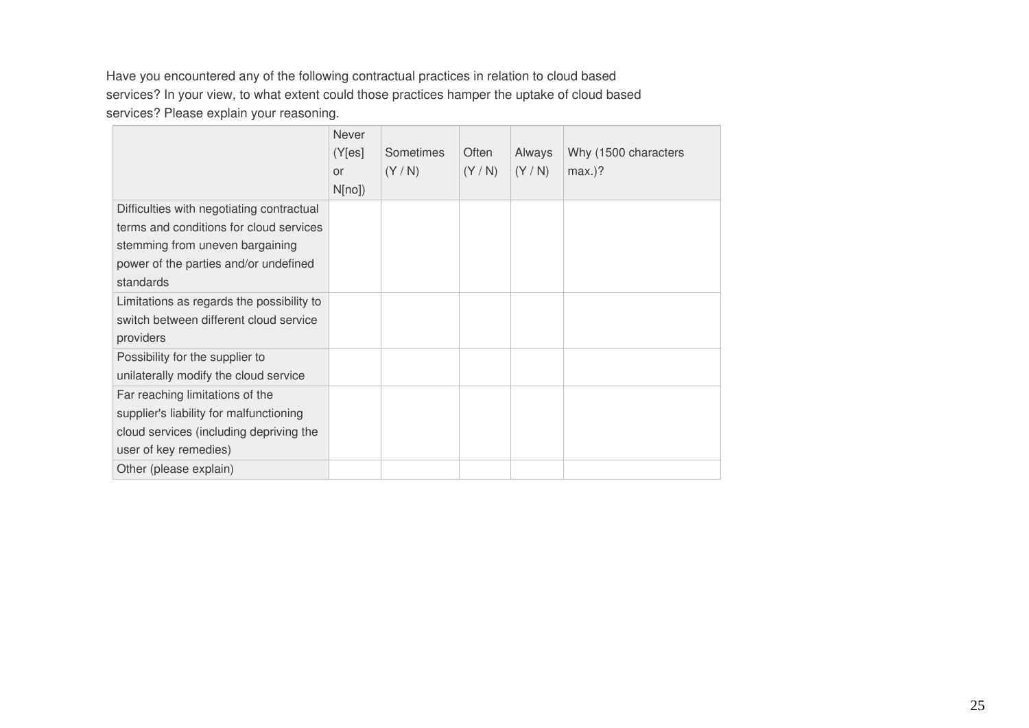Have you encountered any of the following contractual practices in relation to cloud based services? In your view, to what extent could those practices hamper the uptake of cloud based services? Please explain your reasoning.

|                                           | Never     |           |       |        |                      |
|-------------------------------------------|-----------|-----------|-------|--------|----------------------|
|                                           | (Y[es]    | Sometimes | Often | Always | Why (1500 characters |
|                                           | <b>or</b> | (Y/N)     | (Y/N) | (Y/N)  | $max.$ ?             |
|                                           | N[no])    |           |       |        |                      |
| Difficulties with negotiating contractual |           |           |       |        |                      |
| terms and conditions for cloud services   |           |           |       |        |                      |
| stemming from uneven bargaining           |           |           |       |        |                      |
| power of the parties and/or undefined     |           |           |       |        |                      |
| standards                                 |           |           |       |        |                      |
| Limitations as regards the possibility to |           |           |       |        |                      |
| switch between different cloud service    |           |           |       |        |                      |
| providers                                 |           |           |       |        |                      |
| Possibility for the supplier to           |           |           |       |        |                      |
| unilaterally modify the cloud service     |           |           |       |        |                      |
| Far reaching limitations of the           |           |           |       |        |                      |
| supplier's liability for malfunctioning   |           |           |       |        |                      |
| cloud services (including depriving the   |           |           |       |        |                      |
| user of key remedies)                     |           |           |       |        |                      |
| Other (please explain)                    |           |           |       |        |                      |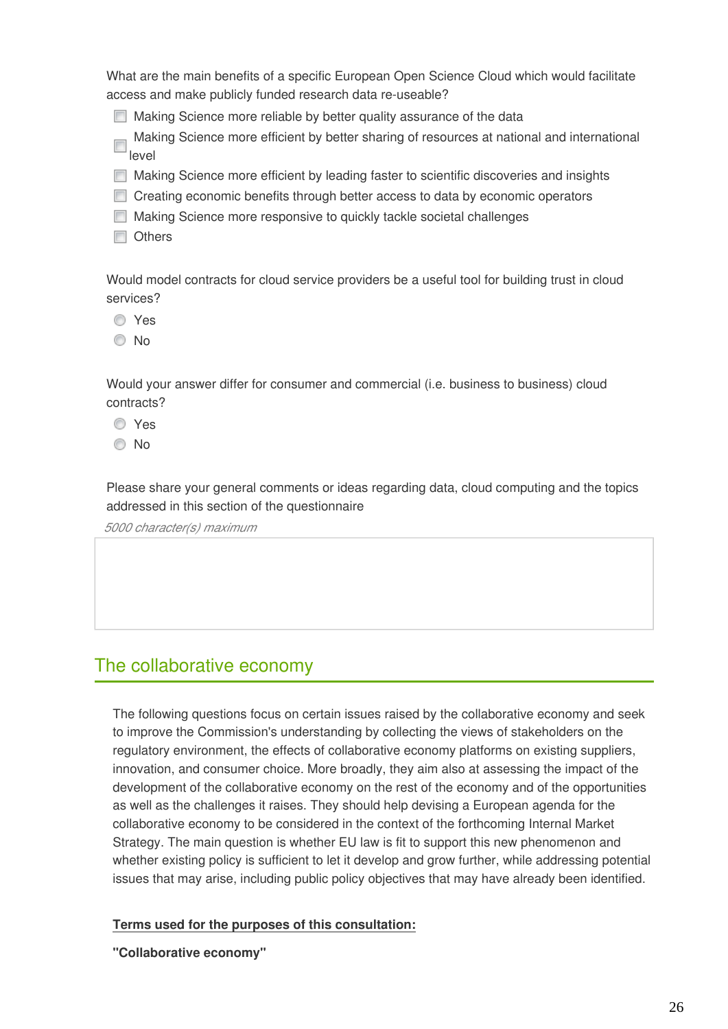What are the main benefits of a specific European Open Science Cloud which would facilitate access and make publicly funded research data re-useable?

Making Science more reliable by better quality assurance of the data

Making Science more efficient by better sharing of resources at national and international level

**Making Science more efficient by leading faster to scientific discoveries and insights** 

- Creating economic benefits through better access to data by economic operators
- **Making Science more responsive to quickly tackle societal challenges**
- **Others**

Would model contracts for cloud service providers be a useful tool for building trust in cloud services?

- Yes
- © No

Would your answer differ for consumer and commercial (i.e. business to business) cloud contracts?

- Yes
- © No

Please share your general comments or ideas regarding data, cloud computing and the topics addressed in this section of the questionnaire

*5000 character(s) maximum* 

## The collaborative economy

The following questions focus on certain issues raised by the collaborative economy and seek to improve the Commission's understanding by collecting the views of stakeholders on the regulatory environment, the effects of collaborative economy platforms on existing suppliers, innovation, and consumer choice. More broadly, they aim also at assessing the impact of the development of the collaborative economy on the rest of the economy and of the opportunities as well as the challenges it raises. They should help devising a European agenda for the collaborative economy to be considered in the context of the forthcoming Internal Market Strategy. The main question is whether EU law is fit to support this new phenomenon and whether existing policy is sufficient to let it develop and grow further, while addressing potential issues that may arise, including public policy objectives that may have already been identified.

## **Terms used for the purposes of this consultation:**

**"Collaborative economy"**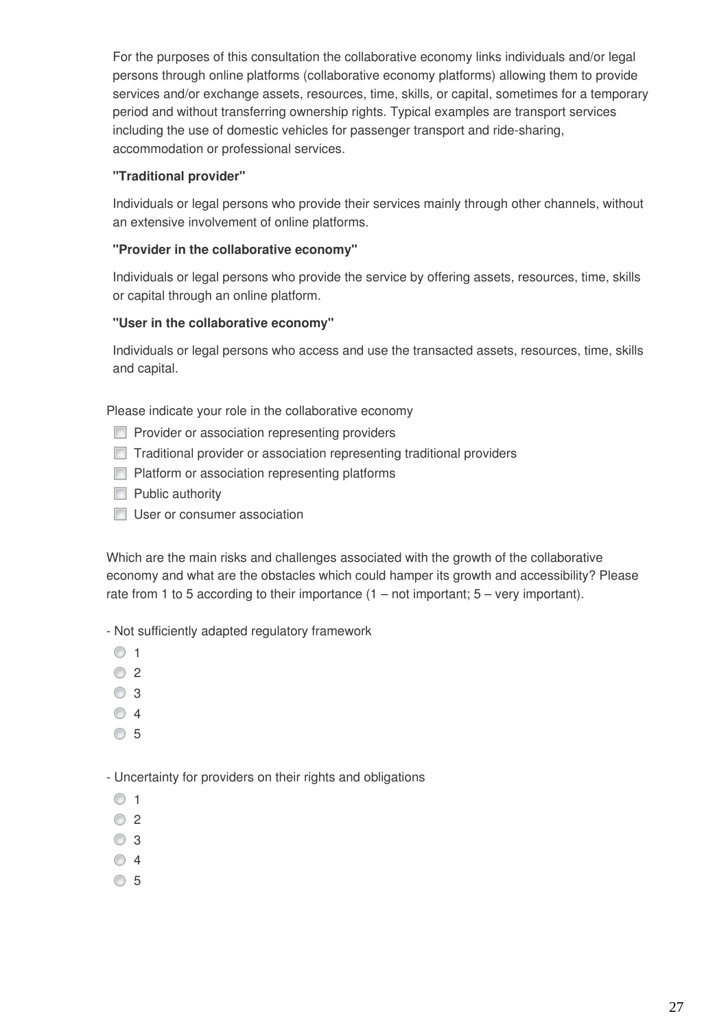For the purposes of this consultation the collaborative economy links individuals and/or legal persons through online platforms (collaborative economy platforms) allowing them to provide services and/or exchange assets, resources, time, skills, or capital, sometimes for a temporary period and without transferring ownership rights. Typical examples are transport services including the use of domestic vehicles for passenger transport and ride-sharing, accommodation or professional services.

## **"Traditional provider"**

Individuals or legal persons who provide their services mainly through other channels, without an extensive involvement of online platforms.

## **"Provider in the collaborative economy"**

Individuals or legal persons who provide the service by offering assets, resources, time, skills or capital through an online platform.

## **"User in the collaborative economy"**

Individuals or legal persons who access and use the transacted assets, resources, time, skills and capital.

Please indicate your role in the collaborative economy

- **Provider or association representing providers**
- **Traditional provider or association representing traditional providers**
- **Platform or association representing platforms**
- $\Box$  Public authority
- User or consumer association

Which are the main risks and challenges associated with the growth of the collaborative economy and what are the obstacles which could hamper its growth and accessibility? Please rate from 1 to 5 according to their importance  $(1 - not important; 5 - very important)$ .

- Not sufficiently adapted regulatory framework

- $\circ$  1
- $\circ$  2
- **8** 3
- ◎ 4
- **65**

- Uncertainty for providers on their rights and obligations

- $\circ$  1
- $\circ$  2
- ◎ 3
- $\circ$  4
- **65**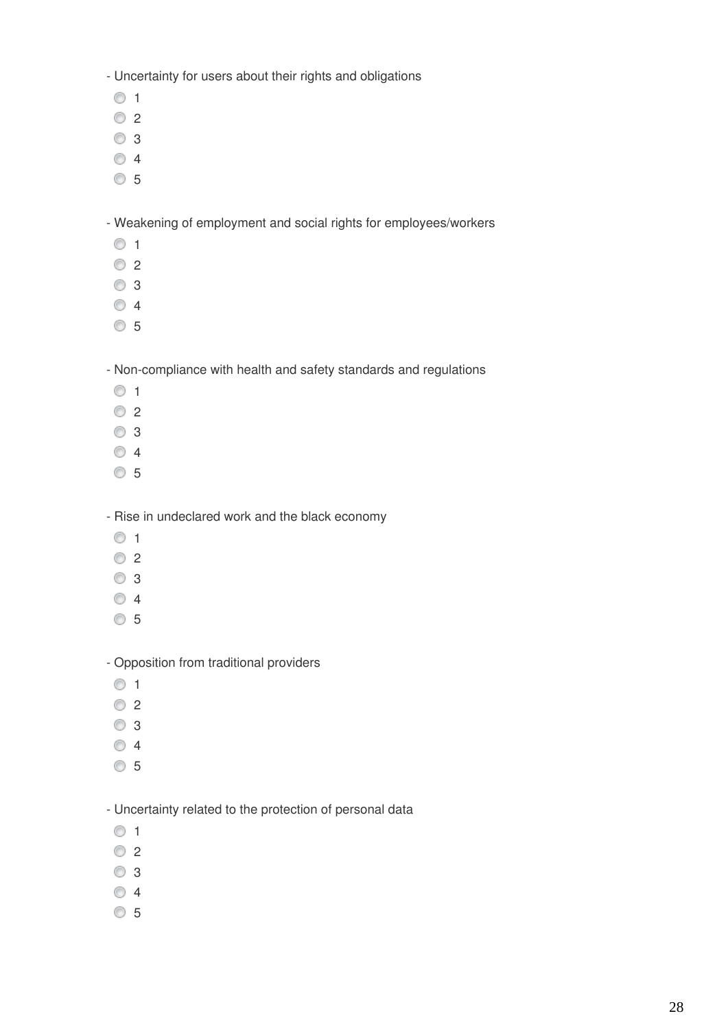- Uncertainty for users about their rights and obligations

- $\circ$  1
- $\odot$  2
- 3
- 4
- 5

- Weakening of employment and social rights for employees/workers

- $\circ$  1
- $\circ$  2
- 3
- 4
- 5

- Non-compliance with health and safety standards and regulations

- $\odot$  1
- **02**
- 3
- 4
- 5

- Rise in undeclared work and the black economy

- $\circ$  1
- $\circ$  2
- 3
- 4
- 5

- Opposition from traditional providers

- $\circ$  1
- $\circ$  2
- 3
- 4
- 5

- Uncertainty related to the protection of personal data

- $\circ$  1
- © 2
- 3
- 4
- 5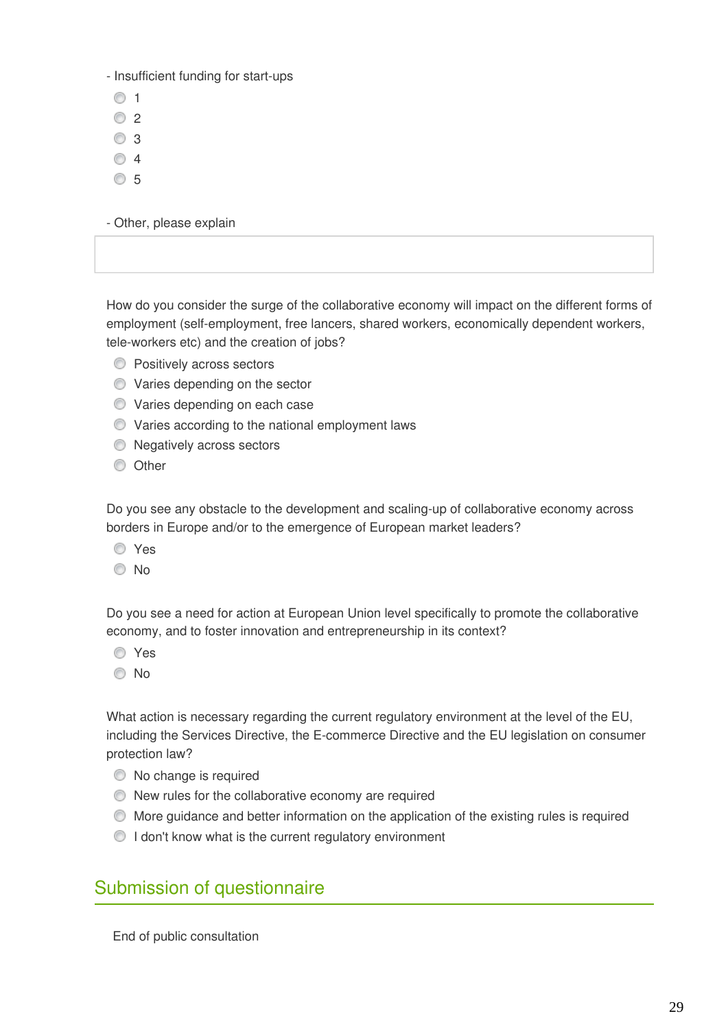- Insufficient funding for start-ups

- $\circ$  1
- $\circ$  2
- 3
- ◎ 4
- **65**

- Other, please explain

How do you consider the surge of the collaborative economy will impact on the different forms of employment (self-employment, free lancers, shared workers, economically dependent workers, tele-workers etc) and the creation of jobs?

- **Positively across sectors**
- Varies depending on the sector
- **O** Varies depending on each case
- Varies according to the national employment laws
- **Negatively across sectors**
- **O** Other

Do you see any obstacle to the development and scaling-up of collaborative economy across borders in Europe and/or to the emergence of European market leaders?

- Yes
- No

Do you see a need for action at European Union level specifically to promote the collaborative economy, and to foster innovation and entrepreneurship in its context?

- Yes
- © No

What action is necessary regarding the current regulatory environment at the level of the EU, including the Services Directive, the E-commerce Directive and the EU legislation on consumer protection law?

- $\bullet$  No change is required
- New rules for the collaborative economy are required
- More guidance and better information on the application of the existing rules is required
- I don't know what is the current regulatory environment

## Submission of questionnaire

End of public consultation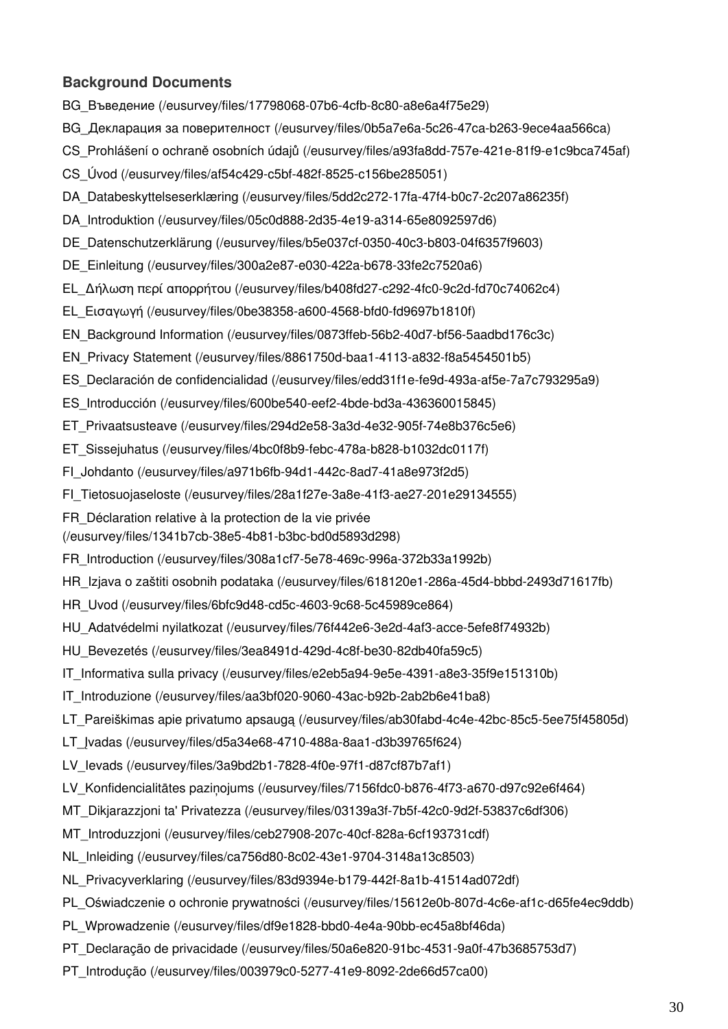## **Background Documents**

[BG\\_Въведение \(/eusurvey/files/17798068-07b6-4cfb-8c80-a8e6a4f75e29\)](https://ec.europa.eu/eusurvey/files/17798068-07b6-4cfb-8c80-a8e6a4f75e29)

- [BG\\_Декларация за поверителност \(/eusurvey/files/0b5a7e6a-5c26-47ca-b263-9ece4aa566ca\)](https://ec.europa.eu/eusurvey/files/0b5a7e6a-5c26-47ca-b263-9ece4aa566ca)
- [CS\\_Prohlášení o ochraně osobních údajů \(/eusurvey/files/a93fa8dd-757e-421e-81f9-e1c9bca745af\)](https://ec.europa.eu/eusurvey/files/a93fa8dd-757e-421e-81f9-e1c9bca745af)
- [CS\\_Úvod \(/eusurvey/files/af54c429-c5bf-482f-8525-c156be285051\)](https://ec.europa.eu/eusurvey/files/af54c429-c5bf-482f-8525-c156be285051)
- [DA\\_Databeskyttelseserklæring \(/eusurvey/files/5dd2c272-17fa-47f4-b0c7-2c207a86235f\)](https://ec.europa.eu/eusurvey/files/5dd2c272-17fa-47f4-b0c7-2c207a86235f)
- [DA\\_Introduktion \(/eusurvey/files/05c0d888-2d35-4e19-a314-65e8092597d6\)](https://ec.europa.eu/eusurvey/files/05c0d888-2d35-4e19-a314-65e8092597d6)
- [DE\\_Datenschutzerklärung \(/eusurvey/files/b5e037cf-0350-40c3-b803-04f6357f9603\)](https://ec.europa.eu/eusurvey/files/b5e037cf-0350-40c3-b803-04f6357f9603)
- [DE\\_Einleitung \(/eusurvey/files/300a2e87-e030-422a-b678-33fe2c7520a6\)](https://ec.europa.eu/eusurvey/files/300a2e87-e030-422a-b678-33fe2c7520a6)
- [EL\\_Δήλωση περί απορρήτου \(/eusurvey/files/b408fd27-c292-4fc0-9c2d-fd70c74062c4\)](https://ec.europa.eu/eusurvey/files/b408fd27-c292-4fc0-9c2d-fd70c74062c4)
- [EL\\_Εισαγωγή \(/eusurvey/files/0be38358-a600-4568-bfd0-fd9697b1810f\)](https://ec.europa.eu/eusurvey/files/0be38358-a600-4568-bfd0-fd9697b1810f)
- [EN\\_Background Information \(/eusurvey/files/0873ffeb-56b2-40d7-bf56-5aadbd176c3c\)](https://ec.europa.eu/eusurvey/files/0873ffeb-56b2-40d7-bf56-5aadbd176c3c)
- [EN\\_Privacy Statement \(/eusurvey/files/8861750d-baa1-4113-a832-f8a5454501b5\)](https://ec.europa.eu/eusurvey/files/8861750d-baa1-4113-a832-f8a5454501b5)
- [ES\\_Declaración de confidencialidad \(/eusurvey/files/edd31f1e-fe9d-493a-af5e-7a7c793295a9\)](https://ec.europa.eu/eusurvey/files/edd31f1e-fe9d-493a-af5e-7a7c793295a9)
- [ES\\_Introducción \(/eusurvey/files/600be540-eef2-4bde-bd3a-436360015845\)](https://ec.europa.eu/eusurvey/files/600be540-eef2-4bde-bd3a-436360015845)
- [ET\\_Privaatsusteave \(/eusurvey/files/294d2e58-3a3d-4e32-905f-74e8b376c5e6\)](https://ec.europa.eu/eusurvey/files/294d2e58-3a3d-4e32-905f-74e8b376c5e6)
- [ET\\_Sissejuhatus \(/eusurvey/files/4bc0f8b9-febc-478a-b828-b1032dc0117f\)](https://ec.europa.eu/eusurvey/files/4bc0f8b9-febc-478a-b828-b1032dc0117f)
- [FI\\_Johdanto \(/eusurvey/files/a971b6fb-94d1-442c-8ad7-41a8e973f2d5\)](https://ec.europa.eu/eusurvey/files/a971b6fb-94d1-442c-8ad7-41a8e973f2d5)
- [FI\\_Tietosuojaseloste \(/eusurvey/files/28a1f27e-3a8e-41f3-ae27-201e29134555\)](https://ec.europa.eu/eusurvey/files/28a1f27e-3a8e-41f3-ae27-201e29134555)
- [FR\\_Déclaration relative à la protection de la vie privée](https://ec.europa.eu/eusurvey/files/1341b7cb-38e5-4b81-b3bc-bd0d5893d298)
- [\(/eusurvey/files/1341b7cb-38e5-4b81-b3bc-bd0d5893d298\)](https://ec.europa.eu/eusurvey/files/1341b7cb-38e5-4b81-b3bc-bd0d5893d298)
- [FR\\_Introduction \(/eusurvey/files/308a1cf7-5e78-469c-996a-372b33a1992b\)](https://ec.europa.eu/eusurvey/files/308a1cf7-5e78-469c-996a-372b33a1992b)
- [HR\\_Izjava o zaštiti osobnih podataka \(/eusurvey/files/618120e1-286a-45d4-bbbd-2493d71617fb\)](https://ec.europa.eu/eusurvey/files/618120e1-286a-45d4-bbbd-2493d71617fb)
- [HR\\_Uvod \(/eusurvey/files/6bfc9d48-cd5c-4603-9c68-5c45989ce864\)](https://ec.europa.eu/eusurvey/files/6bfc9d48-cd5c-4603-9c68-5c45989ce864)
- [HU\\_Adatvédelmi nyilatkozat \(/eusurvey/files/76f442e6-3e2d-4af3-acce-5efe8f74932b\)](https://ec.europa.eu/eusurvey/files/76f442e6-3e2d-4af3-acce-5efe8f74932b)
- [HU\\_Bevezetés \(/eusurvey/files/3ea8491d-429d-4c8f-be30-82db40fa59c5\)](https://ec.europa.eu/eusurvey/files/3ea8491d-429d-4c8f-be30-82db40fa59c5)
- [IT\\_Informativa sulla privacy \(/eusurvey/files/e2eb5a94-9e5e-4391-a8e3-35f9e151310b\)](https://ec.europa.eu/eusurvey/files/e2eb5a94-9e5e-4391-a8e3-35f9e151310b)
- [IT\\_Introduzione \(/eusurvey/files/aa3bf020-9060-43ac-b92b-2ab2b6e41ba8\)](https://ec.europa.eu/eusurvey/files/aa3bf020-9060-43ac-b92b-2ab2b6e41ba8)
- [LT\\_Pareiškimas apie privatumo apsaugą \(/eusurvey/files/ab30fabd-4c4e-42bc-85c5-5ee75f45805d\)](https://ec.europa.eu/eusurvey/files/ab30fabd-4c4e-42bc-85c5-5ee75f45805d)
- [LT\\_Įvadas \(/eusurvey/files/d5a34e68-4710-488a-8aa1-d3b39765f624\)](https://ec.europa.eu/eusurvey/files/d5a34e68-4710-488a-8aa1-d3b39765f624)
- LV levads (/eusurvey/files/3a9bd2b1-7828-4f0e-97f1-d87cf87b7af1)
- [LV\\_Konfidencialitātes paziņojums \(/eusurvey/files/7156fdc0-b876-4f73-a670-d97c92e6f464\)](https://ec.europa.eu/eusurvey/files/7156fdc0-b876-4f73-a670-d97c92e6f464)
- [MT\\_Dikjarazzjoni ta' Privatezza \(/eusurvey/files/03139a3f-7b5f-42c0-9d2f-53837c6df306\)](https://ec.europa.eu/eusurvey/files/03139a3f-7b5f-42c0-9d2f-53837c6df306)
- [MT\\_Introduzzjoni \(/eusurvey/files/ceb27908-207c-40cf-828a-6cf193731cdf\)](https://ec.europa.eu/eusurvey/files/ceb27908-207c-40cf-828a-6cf193731cdf)
- [NL\\_Inleiding \(/eusurvey/files/ca756d80-8c02-43e1-9704-3148a13c8503\)](https://ec.europa.eu/eusurvey/files/ca756d80-8c02-43e1-9704-3148a13c8503)
- [NL\\_Privacyverklaring \(/eusurvey/files/83d9394e-b179-442f-8a1b-41514ad072df\)](https://ec.europa.eu/eusurvey/files/83d9394e-b179-442f-8a1b-41514ad072df)
- [PL\\_Oświadczenie o ochronie prywatności \(/eusurvey/files/15612e0b-807d-4c6e-af1c-d65fe4ec9ddb\)](https://ec.europa.eu/eusurvey/files/15612e0b-807d-4c6e-af1c-d65fe4ec9ddb)
- [PL\\_Wprowadzenie \(/eusurvey/files/df9e1828-bbd0-4e4a-90bb-ec45a8bf46da\)](https://ec.europa.eu/eusurvey/files/df9e1828-bbd0-4e4a-90bb-ec45a8bf46da)
- [PT\\_Declaração de privacidade \(/eusurvey/files/50a6e820-91bc-4531-9a0f-47b3685753d7\)](https://ec.europa.eu/eusurvey/files/50a6e820-91bc-4531-9a0f-47b3685753d7)
- [PT\\_Introdução \(/eusurvey/files/003979c0-5277-41e9-8092-2de66d57ca00\)](https://ec.europa.eu/eusurvey/files/003979c0-5277-41e9-8092-2de66d57ca00)